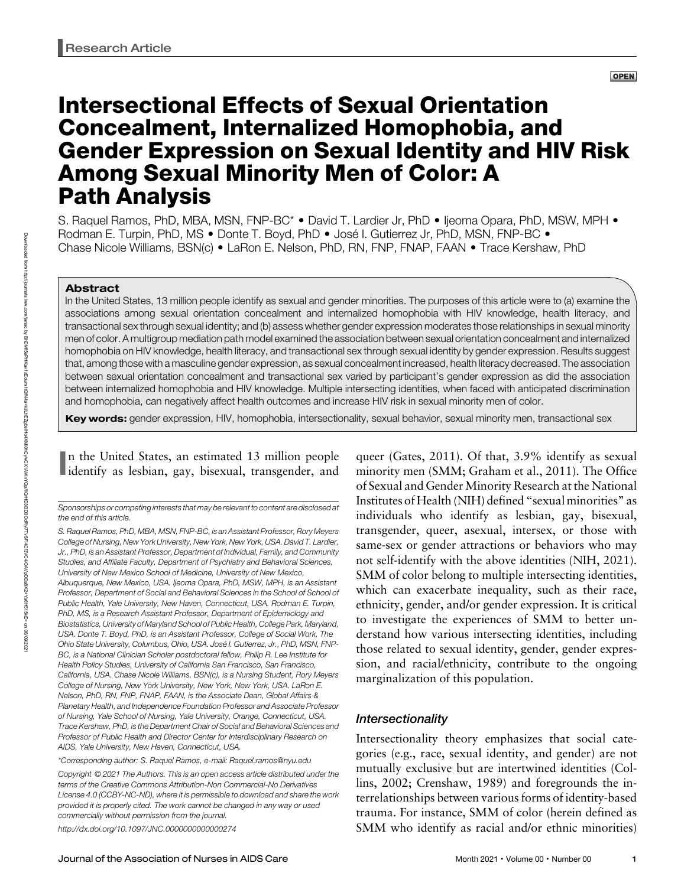# Intersectional Effects of Sexual Orientation Concealment, Internalized Homophobia, and Gender Expression on Sexual Identity and HIV Risk Among Sexual Minority Men of Color: A Path Analysis

S. Raquel Ramos, PhD, MBA, MSN, FNP-BC\* • David T. Lardier Jr, PhD • Ijeoma Opara, PhD, MSW, MPH • Rodman E. Turpin, PhD, MS • Donte T. Boyd, PhD • José I. Gutierrez Jr, PhD, MSN, FNP-BC • Chase Nicole Williams, BSN(c) • LaRon E. Nelson, PhD, RN, FNP, FNAP, FAAN • Trace Kershaw, PhD

# Abstract

In the United States, 13 million people identify as sexual and gender minorities. The purposes of this article were to (a) examine the associations among sexual orientation concealment and internalized homophobia with HIV knowledge, health literacy, and transactional sex through sexual identity; and (b) assess whether gender expression moderates those relationships in sexual minority men of color. A multigroup mediation path model examined the association between sexual orientation concealment and internalized homophobia on HIV knowledge, health literacy, and transactional sex through sexual identity by gender expression. Results suggest that, among those with a masculine gender expression, as sexual concealment increased, health literacy decreased. The association between sexual orientation concealment and transactional sex varied by participant's gender expression as did the association between internalized homophobia and HIV knowledge. Multiple intersecting identities, when faced with anticipated discrimination and homophobia, can negatively affect health outcomes and increase HIV risk in sexual minority men of color.

Key words: gender expression, HIV, homophobia, intersectionality, sexual behavior, sexual minority men, transactional sex

In the United States, an estimated 13 million people<br>identify as lesbian, gay, bisexual, transgender, and n the United States, an estimated 13 million people

Sponsorships or competing interests that may be relevant to content are disclosed at the end of this article.

S. Raquel Ramos, PhD, MBA, MSN, FNP-BC, is an Assistant Professor, Rory Meyers College of Nursing, New York University, New York, New York, USA. David T. Lardier, Jr., PhD, is an Assistant Professor, Department of Individual, Family, and Community Studies, and Affiliate Faculty, Department of Psychiatry and Behavioral Sciences, University of New Mexico School of Medicine, University of New Mexico, Albuquerque, New Mexico, USA. Ijeoma Opara, PhD, MSW, MPH, is an Assistant Professor, Department of Social and Behavioral Sciences in the School of School of Public Health, Yale University, New Haven, Connecticut, USA. Rodman E. Turpin, PhD, MS, is a Research Assistant Professor, Department of Epidemiology and Biostatistics, University of Maryland School of Public Health, College Park, Maryland, USA. Donte T. Boyd, PhD, is an Assistant Professor, College of Social Work, The Ohio State University, Columbus, Ohio, USA. José I. Gutierrez, Jr., PhD, MSN, FNP-BC, is a National Clinician Scholar postdoctoral fellow, Philip R. Lee Institute for Health Policy Studies, University of California San Francisco, San Francisco, California, USA. Chase Nicole Williams, BSN(c), is a Nursing Student, Rory Meyers College of Nursing, New York University, New York, New York, USA. LaRon E. Nelson, PhD, RN, FNP, FNAP, FAAN, is the Associate Dean, Global Affairs & Planetary Health, and Independence Foundation Professor and Associate Professor of Nursing, Yale School of Nursing, Yale University, Orange, Connecticut, USA. Trace Kershaw, PhD, is the Department Chair of Social and Behavioral Sciences and Professor of Public Health and Director Center for Interdisciplinary Research on AIDS, Yale University, New Haven, Connecticut, USA.

Copyright © 2021 The Authors. This is an open access article distributed under the terms of the [Creative Commons Attribution-Non Commercial-No Derivatives](http://creativecommons.org/licenses/by-nc-nd/4.0/) [License 4.0 \(CCBY-NC-ND\)](http://creativecommons.org/licenses/by-nc-nd/4.0/), where it is permissible to download and share the work provided it is properly cited. The work cannot be changed in any way or used commercially without permission from the journal.

<http://dx.doi.org/10.1097/JNC.0000000000000274>

http://journals.lww.com/janac হ BhDMf5ePHKav1zEoum1tQfN4a+kJLhEZgbsIHo4XMi0hCywCX1AWnYQp/IlQrHD3i3D0OdRyi7TvSFl4Cf3VC4/OAVpDDa8K2+Ya6H515kE= on 06/09/2021

Downloaded from

Journal of the Association of Nurses in AIDS Care Month 2021 • Volume 00 • Number 00 1

queer (Gates, 2011). Of that, 3.9% identify as sexual minority men (SMM; Graham et al., 2011). The Office of Sexual and Gender Minority Research at the National Institutes of Health (NIH) defined "sexual minorities" as individuals who identify as lesbian, gay, bisexual, transgender, queer, asexual, intersex, or those with same-sex or gender attractions or behaviors who may not self-identify with the above identities (NIH, 2021). SMM of color belong to multiple intersecting identities, which can exacerbate inequality, such as their race, ethnicity, gender, and/or gender expression. It is critical to investigate the experiences of SMM to better understand how various intersecting identities, including those related to sexual identity, gender, gender expression, and racial/ethnicity, contribute to the ongoing marginalization of this population.

# Intersectionality

Intersectionality theory emphasizes that social categories (e.g., race, sexual identity, and gender) are not mutually exclusive but are intertwined identities (Collins, 2002; Crenshaw, 1989) and foregrounds the interrelationships between various forms of identity-based trauma. For instance, SMM of color (herein defined as SMM who identify as racial and/or ethnic minorities)

<sup>\*</sup>Corresponding author: S. Raquel Ramos, e-mail: [Raquel.ramos@nyu.edu](mailto:Raquel.ramos@nyu.edu)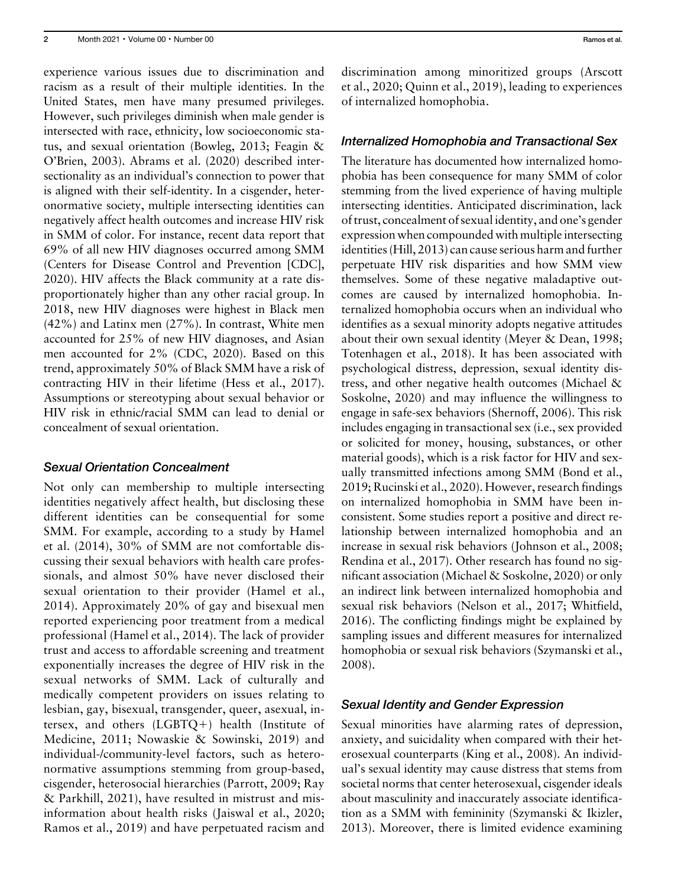experience various issues due to discrimination and racism as a result of their multiple identities. In the United States, men have many presumed privileges. However, such privileges diminish when male gender is intersected with race, ethnicity, low socioeconomic status, and sexual orientation (Bowleg, 2013; Feagin & O'Brien, 2003). Abrams et al. (2020) described intersectionality as an individual's connection to power that is aligned with their self-identity. In a cisgender, heteronormative society, multiple intersecting identities can negatively affect health outcomes and increase HIV risk in SMM of color. For instance, recent data report that 69% of all new HIV diagnoses occurred among SMM (Centers for Disease Control and Prevention [CDC], 2020). HIV affects the Black community at a rate disproportionately higher than any other racial group. In 2018, new HIV diagnoses were highest in Black men (42%) and Latinx men (27%). In contrast, White men accounted for 25% of new HIV diagnoses, and Asian men accounted for 2% (CDC, 2020). Based on this trend, approximately 50% of Black SMM have a risk of contracting HIV in their lifetime (Hess et al., 2017). Assumptions or stereotyping about sexual behavior or HIV risk in ethnic/racial SMM can lead to denial or concealment of sexual orientation.

## Sexual Orientation Concealment

Not only can membership to multiple intersecting identities negatively affect health, but disclosing these different identities can be consequential for some SMM. For example, according to a study by Hamel et al. (2014), 30% of SMM are not comfortable discussing their sexual behaviors with health care professionals, and almost 50% have never disclosed their sexual orientation to their provider (Hamel et al., 2014). Approximately 20% of gay and bisexual men reported experiencing poor treatment from a medical professional (Hamel et al., 2014). The lack of provider trust and access to affordable screening and treatment exponentially increases the degree of HIV risk in the sexual networks of SMM. Lack of culturally and medically competent providers on issues relating to lesbian, gay, bisexual, transgender, queer, asexual, intersex, and others  $(LGBTQ+)$  health (Institute of Medicine, 2011; Nowaskie & Sowinski, 2019) and individual-/community-level factors, such as heteronormative assumptions stemming from group-based, cisgender, heterosocial hierarchies (Parrott, 2009; Ray & Parkhill, 2021), have resulted in mistrust and misinformation about health risks (Jaiswal et al., 2020; Ramos et al., 2019) and have perpetuated racism and discrimination among minoritized groups (Arscott et al., 2020; Quinn et al., 2019), leading to experiences of internalized homophobia.

## Internalized Homophobia and Transactional Sex

The literature has documented how internalized homophobia has been consequence for many SMM of color stemming from the lived experience of having multiple intersecting identities. Anticipated discrimination, lack of trust, concealment of sexual identity, and one's gender expression when compounded with multiple intersecting identities (Hill, 2013) can cause serious harm and further perpetuate HIV risk disparities and how SMM view themselves. Some of these negative maladaptive outcomes are caused by internalized homophobia. Internalized homophobia occurs when an individual who identifies as a sexual minority adopts negative attitudes about their own sexual identity (Meyer & Dean, 1998; Totenhagen et al., 2018). It has been associated with psychological distress, depression, sexual identity distress, and other negative health outcomes (Michael & Soskolne, 2020) and may influence the willingness to engage in safe-sex behaviors (Shernoff, 2006). This risk includes engaging in transactional sex (i.e., sex provided or solicited for money, housing, substances, or other material goods), which is a risk factor for HIV and sexually transmitted infections among SMM (Bond et al., 2019; Rucinski et al., 2020). However, research findings on internalized homophobia in SMM have been inconsistent. Some studies report a positive and direct relationship between internalized homophobia and an increase in sexual risk behaviors (Johnson et al., 2008; Rendina et al., 2017). Other research has found no significant association (Michael & Soskolne, 2020) or only an indirect link between internalized homophobia and sexual risk behaviors (Nelson et al., 2017; Whitfield, 2016). The conflicting findings might be explained by sampling issues and different measures for internalized homophobia or sexual risk behaviors (Szymanski et al., 2008).

## Sexual Identity and Gender Expression

Sexual minorities have alarming rates of depression, anxiety, and suicidality when compared with their heterosexual counterparts (King et al., 2008). An individual's sexual identity may cause distress that stems from societal norms that center heterosexual, cisgender ideals about masculinity and inaccurately associate identification as a SMM with femininity (Szymanski & Ikizler, 2013). Moreover, there is limited evidence examining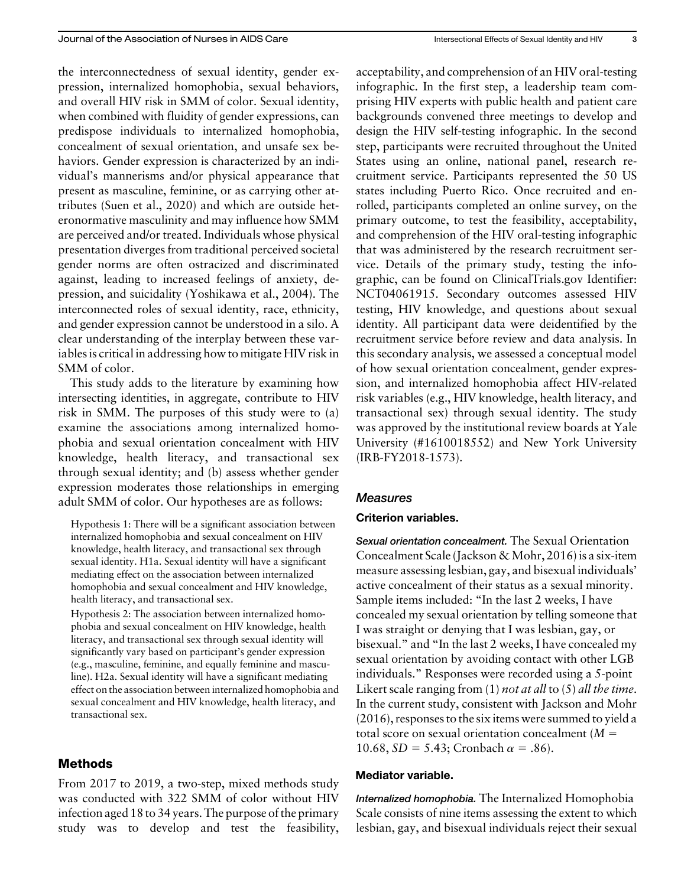the interconnectedness of sexual identity, gender expression, internalized homophobia, sexual behaviors, and overall HIV risk in SMM of color. Sexual identity, when combined with fluidity of gender expressions, can predispose individuals to internalized homophobia, concealment of sexual orientation, and unsafe sex behaviors. Gender expression is characterized by an individual's mannerisms and/or physical appearance that present as masculine, feminine, or as carrying other attributes (Suen et al., 2020) and which are outside heteronormative masculinity and may influence how SMM are perceived and/or treated. Individuals whose physical presentation diverges from traditional perceived societal gender norms are often ostracized and discriminated against, leading to increased feelings of anxiety, depression, and suicidality (Yoshikawa et al., 2004). The interconnected roles of sexual identity, race, ethnicity, and gender expression cannot be understood in a silo. A clear understanding of the interplay between these variables is critical in addressing how to mitigate HIV risk in SMM of color.

This study adds to the literature by examining how intersecting identities, in aggregate, contribute to HIV risk in SMM. The purposes of this study were to (a) examine the associations among internalized homophobia and sexual orientation concealment with HIV knowledge, health literacy, and transactional sex through sexual identity; and (b) assess whether gender expression moderates those relationships in emerging adult SMM of color. Our hypotheses are as follows:

Hypothesis 1: There will be a significant association between internalized homophobia and sexual concealment on HIV knowledge, health literacy, and transactional sex through sexual identity. H1a. Sexual identity will have a significant mediating effect on the association between internalized homophobia and sexual concealment and HIV knowledge, health literacy, and transactional sex.

Hypothesis 2: The association between internalized homophobia and sexual concealment on HIV knowledge, health literacy, and transactional sex through sexual identity will significantly vary based on participant's gender expression (e.g., masculine, feminine, and equally feminine and masculine). H2a. Sexual identity will have a significant mediating effect on the association between internalized homophobia and sexual concealment and HIV knowledge, health literacy, and transactional sex.

## Methods

From 2017 to 2019, a two-step, mixed methods study was conducted with 322 SMM of color without HIV infection aged 18 to 34 years. The purpose of the primary study was to develop and test the feasibility, acceptability, and comprehension of an HIV oral-testing infographic. In the first step, a leadership team comprising HIV experts with public health and patient care backgrounds convened three meetings to develop and design the HIV self-testing infographic. In the second step, participants were recruited throughout the United States using an online, national panel, research recruitment service. Participants represented the 50 US states including Puerto Rico. Once recruited and enrolled, participants completed an online survey, on the primary outcome, to test the feasibility, acceptability, and comprehension of the HIV oral-testing infographic that was administered by the research recruitment service. Details of the primary study, testing the infographic, can be found on [ClinicalTrials.gov](http://ClinicalTrials.gov) Identifier: NCT04061915. Secondary outcomes assessed HIV testing, HIV knowledge, and questions about sexual identity. All participant data were deidentified by the recruitment service before review and data analysis. In this secondary analysis, we assessed a conceptual model of how sexual orientation concealment, gender expression, and internalized homophobia affect HIV-related risk variables (e.g., HIV knowledge, health literacy, and transactional sex) through sexual identity. The study was approved by the institutional review boards at Yale University (#1610018552) and New York University (IRB-FY2018-1573).

# Measures

# Criterion variables.

Sexual orientation concealment. The Sexual Orientation Concealment Scale (Jackson & Mohr, 2016) is a six-item measure assessing lesbian, gay, and bisexual individuals' active concealment of their status as a sexual minority. Sample items included: "In the last 2 weeks, I have concealed my sexual orientation by telling someone that I was straight or denying that I was lesbian, gay, or bisexual." and "In the last 2 weeks, I have concealed my sexual orientation by avoiding contact with other LGB individuals." Responses were recorded using a 5-point Likert scale ranging from  $(1)$  *not at all* to  $(5)$  *all the time.* In the current study, consistent with Jackson and Mohr (2016), responses to the six items were summed to yield a total score on sexual orientation concealment  $(M =$ 10.68,  $SD = 5.43$ ; Cronbach  $\alpha = .86$ ).

## Mediator variable.

Internalized homophobia. The Internalized Homophobia Scale consists of nine items assessing the extent to which lesbian, gay, and bisexual individuals reject their sexual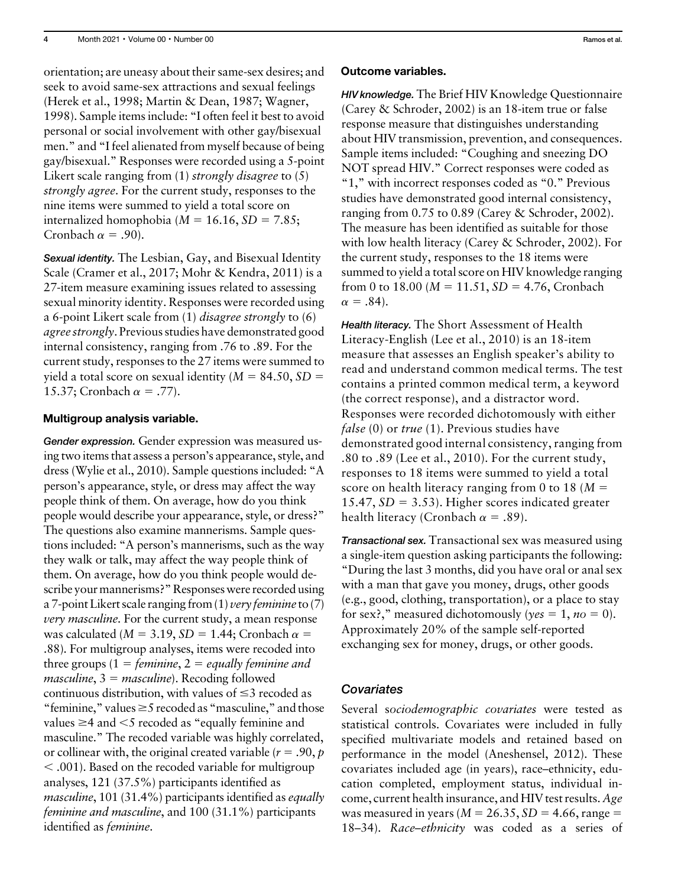orientation; are uneasy about their same-sex desires; and seek to avoid same-sex attractions and sexual feelings (Herek et al., 1998; Martin & Dean, 1987; Wagner, 1998). Sample items include: "I often feel it best to avoid personal or social involvement with other gay/bisexual men." and "I feel alienated from myself because of being gay/bisexual." Responses were recorded using a 5-point Likert scale ranging from (1) *strongly disagree* to (5) strongly agree. For the current study, responses to the nine items were summed to yield a total score on internalized homophobia ( $M = 16.16$ ,  $SD = 7.85$ ; Cronbach  $\alpha = .90$ ).

Sexual identity. The Lesbian, Gay, and Bisexual Identity Scale (Cramer et al., 2017; Mohr & Kendra, 2011) is a 27-item measure examining issues related to assessing sexual minority identity. Responses were recorded using a 6-point Likert scale from (1) disagree strongly to (6) agree strongly. Previous studies have demonstrated good internal consistency, ranging from .76 to .89. For the current study, responses to the 27 items were summed to yield a total score on sexual identity ( $M = 84.50$ ,  $SD =$ 15.37; Cronbach  $\alpha = .77$ ).

#### Multigroup analysis variable.

Gender expression. Gender expression was measured using two items that assess a person's appearance, style, and dress (Wylie et al., 2010). Sample questions included: "A person's appearance, style, or dress may affect the way people think of them. On average, how do you think people would describe your appearance, style, or dress?" The questions also examine mannerisms. Sample questions included: "A person's mannerisms, such as the way they walk or talk, may affect the way people think of them. On average, how do you think people would describe your mannerisms?" Responses were recorded using a 7-point Likert scale ranging from  $(1)$  very feminine to  $(7)$ very masculine. For the current study, a mean response was calculated ( $M = 3.19$ ,  $SD = 1.44$ ; Cronbach  $\alpha =$ .88). For multigroup analyses, items were recoded into three groups  $(1 = \text{feminine}, 2 = \text{equally feminine}$  and *masculine*,  $3 = masculine$ . Recoding followed continuous distribution, with values of  $\leq$ 3 recoded as "feminine," values  $\geq$  5 recoded as "masculine," and those values  $\geq$ 4 and  $\leq$ 5 recoded as "equally feminine and masculine." The recoded variable was highly correlated, or collinear with, the original created variable ( $r = .90, p$ )  $<$  .001). Based on the recoded variable for multigroup analyses, 121 (37.5%) participants identified as masculine, 101 (31.4%) participants identified as equally feminine and masculine, and 100 (31.1%) participants identified as feminine.

#### Outcome variables.

HIV knowledge. The Brief HIV Knowledge Questionnaire (Carey & Schroder, 2002) is an 18-item true or false response measure that distinguishes understanding about HIV transmission, prevention, and consequences. Sample items included: "Coughing and sneezing DO NOT spread HIV." Correct responses were coded as "1," with incorrect responses coded as "0." Previous studies have demonstrated good internal consistency, ranging from 0.75 to 0.89 (Carey & Schroder, 2002). The measure has been identified as suitable for those with low health literacy (Carey & Schroder, 2002). For the current study, responses to the 18 items were summed to yield a total score on HIV knowledge ranging from 0 to 18.00 ( $M = 11.51$ ,  $SD = 4.76$ , Cronbach  $\alpha = .84$ ).

Health literacy. The Short Assessment of Health Literacy-English (Lee et al., 2010) is an 18-item measure that assesses an English speaker's ability to read and understand common medical terms. The test contains a printed common medical term, a keyword (the correct response), and a distractor word. Responses were recorded dichotomously with either *false* (0) or *true* (1). Previous studies have demonstrated good internal consistency, ranging from .80 to .89 (Lee et al., 2010). For the current study, responses to 18 items were summed to yield a total score on health literacy ranging from 0 to 18 ( $M =$  $15.47$ ,  $SD = 3.53$ ). Higher scores indicated greater health literacy (Cronbach  $\alpha = .89$ ).

Transactional sex. Transactional sex was measured using a single-item question asking participants the following: "During the last 3 months, did you have oral or anal sex with a man that gave you money, drugs, other goods (e.g., good, clothing, transportation), or a place to stay for sex?," measured dichotomously (yes = 1, no = 0). Approximately 20% of the sample self-reported exchanging sex for money, drugs, or other goods.

# **Covariates**

Several sociodemographic covariates were tested as statistical controls. Covariates were included in fully specified multivariate models and retained based on performance in the model (Aneshensel, 2012). These covariates included age (in years), race–ethnicity, education completed, employment status, individual income, current health insurance, and HIV test results. Age was measured in years ( $M = 26.35$ ,  $SD = 4.66$ , range = 18–34). Race–ethnicity was coded as a series of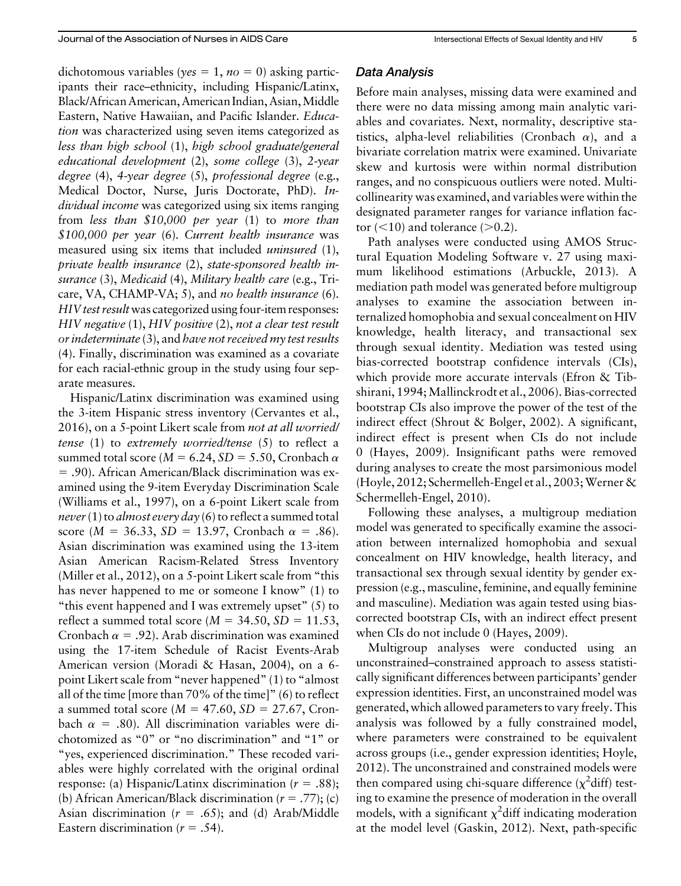dichotomous variables (yes = 1, no = 0) asking participants their race–ethnicity, including Hispanic/Latinx, Black/African American, American Indian, Asian, Middle Eastern, Native Hawaiian, and Pacific Islander. Education was characterized using seven items categorized as less than high school (1), high school graduate/general educational development (2), some college (3), 2-year degree (4), 4-year degree (5), professional degree (e.g., Medical Doctor, Nurse, Juris Doctorate, PhD). Individual income was categorized using six items ranging from less than \$10,000 per year (1) to more than \$100,000 per year (6). Current health insurance was measured using six items that included *uninsured* (1), private health insurance (2), state-sponsored health insurance (3), Medicaid (4), Military health care (e.g., Tricare, VA, CHAMP-VA; 5), and no health insurance (6). HIV test result was categorized using four-item responses: HIV negative (1), HIV positive (2), not a clear test result or indeterminate (3), and have not received my test results (4). Finally, discrimination was examined as a covariate for each racial-ethnic group in the study using four separate measures.

Hispanic/Latinx discrimination was examined using the 3-item Hispanic stress inventory (Cervantes et al., 2016), on a 5-point Likert scale from not at all worried/ tense (1) to extremely worried/tense (5) to reflect a summed total score ( $M = 6.24$ ,  $SD = 5.50$ , Cronbach  $\alpha$ 5 .90). African American/Black discrimination was examined using the 9-item Everyday Discrimination Scale (Williams et al., 1997), on a 6-point Likert scale from never (1) to almost every day (6) to reflect a summed total score ( $M = 36.33$ ,  $SD = 13.97$ , Cronbach  $\alpha = .86$ ). Asian discrimination was examined using the 13-item Asian American Racism-Related Stress Inventory (Miller et al., 2012), on a 5-point Likert scale from "this has never happened to me or someone I know" (1) to "this event happened and I was extremely upset" (5) to reflect a summed total score ( $M = 34.50$ ,  $SD = 11.53$ , Cronbach  $\alpha = .92$ ). Arab discrimination was examined using the 17-item Schedule of Racist Events-Arab American version (Moradi & Hasan, 2004), on a 6 point Likert scale from "never happened" (1) to "almost all of the time [more than 70% of the time]" (6) to reflect a summed total score ( $M = 47.60$ ,  $SD = 27.67$ , Cronbach  $\alpha = .80$ ). All discrimination variables were dichotomized as "0" or "no discrimination" and "1" or "yes, experienced discrimination." These recoded variables were highly correlated with the original ordinal response: (a) Hispanic/Latinx discrimination ( $r = .88$ ); (b) African American/Black discrimination ( $r = .77$ ); (c) Asian discrimination ( $r = .65$ ); and (d) Arab/Middle Eastern discrimination ( $r = .54$ ).

# Data Analysis

Before main analyses, missing data were examined and there were no data missing among main analytic variables and covariates. Next, normality, descriptive statistics, alpha-level reliabilities (Cronbach  $\alpha$ ), and a bivariate correlation matrix were examined. Univariate skew and kurtosis were within normal distribution ranges, and no conspicuous outliers were noted. Multicollinearity was examined, and variables were within the designated parameter ranges for variance inflation factor  $(<10$ ) and tolerance  $(>0.2)$ .

Path analyses were conducted using AMOS Structural Equation Modeling Software v. 27 using maximum likelihood estimations (Arbuckle, 2013). A mediation path model was generated before multigroup analyses to examine the association between internalized homophobia and sexual concealment on HIV knowledge, health literacy, and transactional sex through sexual identity. Mediation was tested using bias-corrected bootstrap confidence intervals (CIs), which provide more accurate intervals (Efron & Tibshirani, 1994; Mallinckrodt et al., 2006). Bias-corrected bootstrap CIs also improve the power of the test of the indirect effect (Shrout & Bolger, 2002). A significant, indirect effect is present when CIs do not include 0 (Hayes, 2009). Insignificant paths were removed during analyses to create the most parsimonious model (Hoyle, 2012; Schermelleh-Engel et al., 2003; Werner  $\&$ Schermelleh-Engel, 2010).

Following these analyses, a multigroup mediation model was generated to specifically examine the association between internalized homophobia and sexual concealment on HIV knowledge, health literacy, and transactional sex through sexual identity by gender expression (e.g., masculine, feminine, and equally feminine and masculine). Mediation was again tested using biascorrected bootstrap CIs, with an indirect effect present when CIs do not include 0 (Hayes, 2009).

Multigroup analyses were conducted using an unconstrained–constrained approach to assess statistically significant differences between participants' gender expression identities. First, an unconstrained model was generated, which allowed parameters to vary freely. This analysis was followed by a fully constrained model, where parameters were constrained to be equivalent across groups (i.e., gender expression identities; Hoyle, 2012). The unconstrained and constrained models were then compared using chi-square difference  $(\chi^2$ diff) testing to examine the presence of moderation in the overall models, with a significant  $\chi^2$  diff indicating moderation at the model level (Gaskin, 2012). Next, path-specific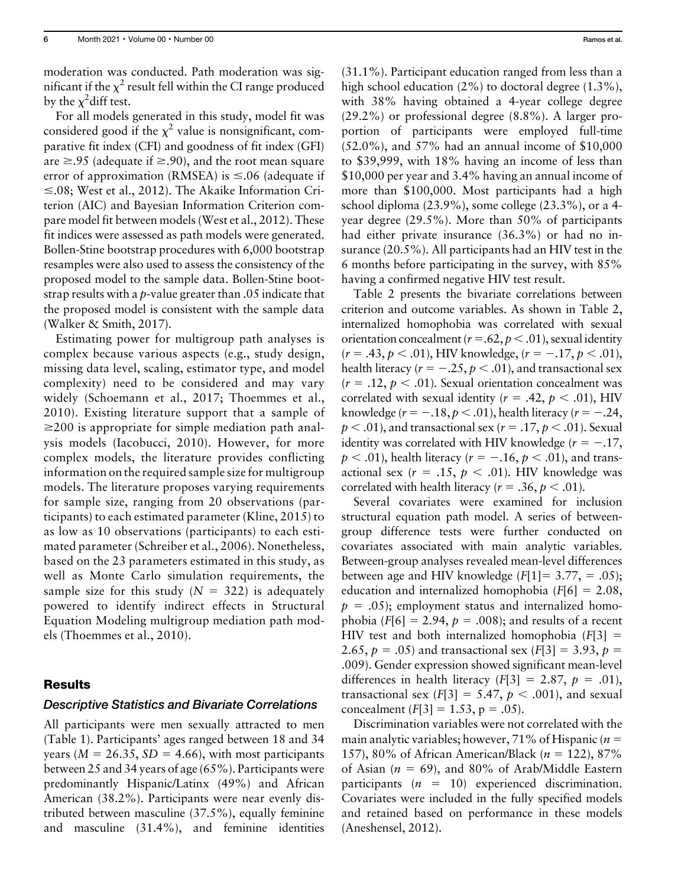moderation was conducted. Path moderation was significant if the  $\chi^2$  result fell within the CI range produced by the  $\chi^2$ diff test.

For all models generated in this study, model fit was considered good if the  $\chi^2$  value is nonsignificant, comparative fit index (CFI) and goodness of fit index (GFI) are  $\geq$ .95 (adequate if  $\geq$ .90), and the root mean square error of approximation (RMSEA) is  $\leq 0.06$  (adequate if  $\leq$ .08; West et al., 2012). The Akaike Information Criterion (AIC) and Bayesian Information Criterion compare model fit between models (West et al., 2012). These fit indices were assessed as path models were generated. Bollen-Stine bootstrap procedures with 6,000 bootstrap resamples were also used to assess the consistency of the proposed model to the sample data. Bollen-Stine bootstrap results with a p-value greater than .05 indicate that the proposed model is consistent with the sample data (Walker & Smith, 2017).

Estimating power for multigroup path analyses is complex because various aspects (e.g., study design, missing data level, scaling, estimator type, and model complexity) need to be considered and may vary widely (Schoemann et al., 2017; Thoemmes et al., 2010). Existing literature support that a sample of  $\geq$ 200 is appropriate for simple mediation path analysis models (Iacobucci, 2010). However, for more complex models, the literature provides conflicting information on the required sample size for multigroup models. The literature proposes varying requirements for sample size, ranging from 20 observations (participants) to each estimated parameter (Kline, 2015) to as low as 10 observations (participants) to each estimated parameter (Schreiber et al., 2006). Nonetheless, based on the 23 parameters estimated in this study, as well as Monte Carlo simulation requirements, the sample size for this study  $(N = 322)$  is adequately powered to identify indirect effects in Structural Equation Modeling multigroup mediation path models (Thoemmes et al., 2010).

# Results

#### Descriptive Statistics and Bivariate Correlations

All participants were men sexually attracted to men (Table 1). Participants' ages ranged between 18 and 34 years ( $M = 26.35$ ,  $SD = 4.66$ ), with most participants between 25 and 34 years of age (65%). Participants were predominantly Hispanic/Latinx (49%) and African American (38.2%). Participants were near evenly distributed between masculine (37.5%), equally feminine and masculine (31.4%), and feminine identities (31.1%). Participant education ranged from less than a high school education  $(2\%)$  to doctoral degree  $(1.3\%)$ , with 38% having obtained a 4-year college degree (29.2%) or professional degree (8.8%). A larger proportion of participants were employed full-time (52.0%), and 57% had an annual income of \$10,000 to \$39,999, with 18% having an income of less than \$10,000 per year and 3.4% having an annual income of more than \$100,000. Most participants had a high school diploma (23.9%), some college (23.3%), or a 4 year degree (29.5%). More than 50% of participants had either private insurance (36.3%) or had no insurance (20.5%). All participants had an HIV test in the 6 months before participating in the survey, with 85% having a confirmed negative HIV test result.

Table 2 presents the bivariate correlations between criterion and outcome variables. As shown in Table 2, internalized homophobia was correlated with sexual orientation concealment ( $r = .62$ ,  $p < .01$ ), sexual identity  $(r = .43, p < .01)$ , HIV knowledge,  $(r = -.17, p < .01)$ , health literacy ( $r = -.25, p < .01$ ), and transactional sex  $(r = .12, p < .01)$ . Sexual orientation concealment was correlated with sexual identity ( $r = .42$ ,  $p < .01$ ), HIV knowledge ( $r = -.18, p < .01$ ), health literacy ( $r = -.24$ ,  $p < .01$ ), and transactional sex ( $r = .17$ ,  $p < .01$ ). Sexual identity was correlated with HIV knowledge  $(r = -.17, )$  $p < .01$ ), health literacy ( $r = -.16$ ,  $p < .01$ ), and transactional sex ( $r = .15$ ,  $p < .01$ ). HIV knowledge was correlated with health literacy ( $r = .36$ ,  $p < .01$ ).

Several covariates were examined for inclusion structural equation path model. A series of betweengroup difference tests were further conducted on covariates associated with main analytic variables. Between-group analyses revealed mean-level differences between age and HIV knowledge  $(F[1] = 3.77, = .05)$ ; education and internalized homophobia  $(F[6] = 2.08$ ,  $p = .05$ ; employment status and internalized homophobia ( $F[6] = 2.94$ ,  $p = .008$ ); and results of a recent HIV test and both internalized homophobia  $(F[3] =$ 2.65,  $p = .05$ ) and transactional sex (F[3] = 3.93,  $p =$ .009). Gender expression showed significant mean-level differences in health literacy  $(F[3] = 2.87, p = .01)$ , transactional sex  $(F[3] = 5.47, p < .001)$ , and sexual concealment  $(F[3] = 1.53, p = .05)$ .

Discrimination variables were not correlated with the main analytic variables; however, 71% of Hispanic ( $n =$ 157), 80% of African American/Black ( $n = 122$ ), 87% of Asian ( $n = 69$ ), and 80% of Arab/Middle Eastern participants  $(n = 10)$  experienced discrimination. Covariates were included in the fully specified models and retained based on performance in these models (Aneshensel, 2012).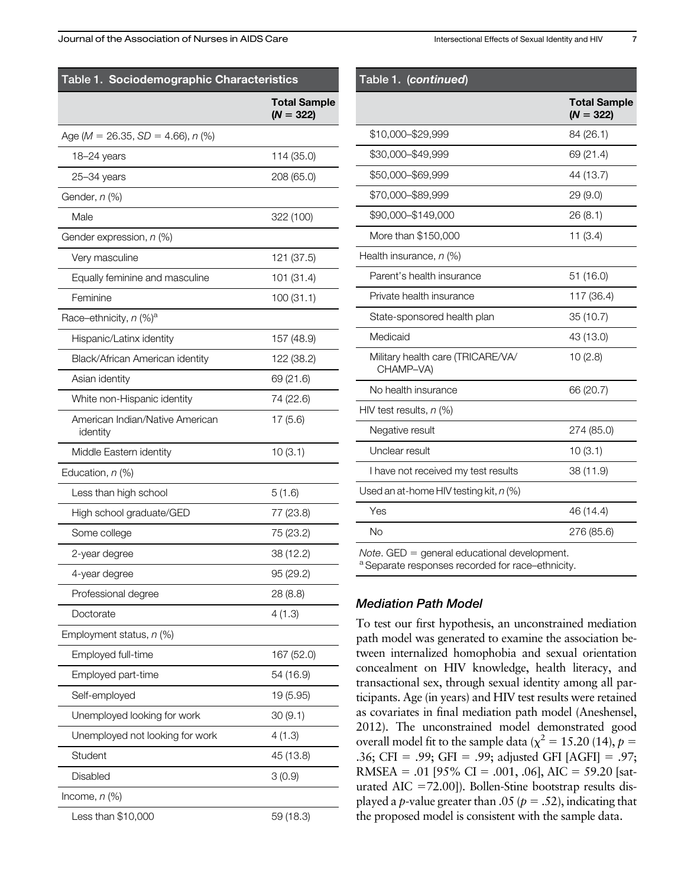| Table 1. Sociodemographic Characteristics   |                                    |  |  |  |  |
|---------------------------------------------|------------------------------------|--|--|--|--|
|                                             | <b>Total Sample</b><br>$(N = 322)$ |  |  |  |  |
| Age ( $M = 26.35$ , $SD = 4.66$ ), $n$ (%)  |                                    |  |  |  |  |
| 18-24 years                                 | 114 (35.0)                         |  |  |  |  |
| $25 - 34$ years                             | 208 (65.0)                         |  |  |  |  |
| Gender, <i>n</i> (%)                        |                                    |  |  |  |  |
| Male                                        | 322 (100)                          |  |  |  |  |
| Gender expression, n (%)                    |                                    |  |  |  |  |
| Very masculine                              | 121 (37.5)                         |  |  |  |  |
| Equally feminine and masculine              | 101 (31.4)                         |  |  |  |  |
| Feminine                                    | 100(31.1)                          |  |  |  |  |
| Race-ethnicity, n (%) <sup>a</sup>          |                                    |  |  |  |  |
| Hispanic/Latinx identity                    | 157 (48.9)                         |  |  |  |  |
| Black/African American identity             | 122 (38.2)                         |  |  |  |  |
| Asian identity                              | 69 (21.6)                          |  |  |  |  |
| White non-Hispanic identity                 | 74 (22.6)                          |  |  |  |  |
| American Indian/Native American<br>identity | 17(5.6)                            |  |  |  |  |
| Middle Eastern identity                     | 10(3.1)                            |  |  |  |  |
| Education, n (%)                            |                                    |  |  |  |  |
| Less than high school                       | 5(1.6)                             |  |  |  |  |
| High school graduate/GED                    | 77 (23.8)                          |  |  |  |  |
| Some college                                | 75 (23.2)                          |  |  |  |  |
| 2-year degree                               | 38 (12.2)                          |  |  |  |  |
| 4-year degree                               | 95 (29.2)                          |  |  |  |  |
| Professional degree                         | 28 (8.8)                           |  |  |  |  |
| Doctorate                                   | 4(1.3)                             |  |  |  |  |
| Employment status, n (%)                    |                                    |  |  |  |  |
| Employed full-time                          | 167 (52.0)                         |  |  |  |  |
| Employed part-time                          | 54 (16.9)                          |  |  |  |  |
| Self-employed                               | 19 (5.95)                          |  |  |  |  |
| Unemployed looking for work                 | 30(9.1)                            |  |  |  |  |
| Unemployed not looking for work             | 4(1.3)                             |  |  |  |  |
| Student                                     | 45 (13.8)                          |  |  |  |  |
| Disabled                                    | 3(0.9)                             |  |  |  |  |
| Income, $n$ (%)                             |                                    |  |  |  |  |
| Less than \$10,000                          | 59 (18.3)                          |  |  |  |  |

| Table 1. (continued)                           |                                    |
|------------------------------------------------|------------------------------------|
|                                                | <b>Total Sample</b><br>$(N = 322)$ |
| \$10,000-\$29,999                              | 84 (26.1)                          |
| \$30,000-\$49,999                              | 69 (21.4)                          |
| \$50,000-\$69,999                              | 44 (13.7)                          |
| \$70,000-\$89,999                              | 29 (9.0)                           |
| \$90,000-\$149,000                             | 26 (8.1)                           |
| More than \$150,000                            | 11(3.4)                            |
| Health insurance, n (%)                        |                                    |
| Parent's health insurance                      | 51 (16.0)                          |
| Private health insurance                       | 117 (36.4)                         |
| State-sponsored health plan                    | 35 (10.7)                          |
| Medicaid                                       | 43 (13.0)                          |
| Military health care (TRICARE/VA/<br>CHAMP-VA) | 10(2.8)                            |
| No health insurance                            | 66 (20.7)                          |
| HIV test results, $n$ (%)                      |                                    |
| Negative result                                | 274 (85.0)                         |
| Unclear result                                 | 10(3.1)                            |
| I have not received my test results            | 38 (11.9)                          |
| Used an at-home HIV testing kit, $n$ (%)       |                                    |
| Yes                                            | 46 (14.4)                          |
| <b>No</b>                                      | 276 (85.6)                         |
| $Note. GED = general educational development.$ |                                    |

Separate responses recorded for race–ethnicity.

# Mediation Path Model

To test our first hypothesis, an unconstrained mediation path model was generated to examine the association between internalized homophobia and sexual orientation concealment on HIV knowledge, health literacy, and transactional sex, through sexual identity among all participants. Age (in years) and HIV test results were retained as covariates in final mediation path model (Aneshensel, 2012). The unconstrained model demonstrated good overall model fit to the sample data ( $\chi^2 = 15.20$  (14),  $p =$ .36; CFI = .99; GFI = .99; adjusted GFI [AGFI] = .97; RMSEA = .01 [95% CI = .001, .06], AIC = 59.20 [saturated AIC =  $72.00$ ]). Bollen-Stine bootstrap results displayed a *p*-value greater than .05 ( $p = .52$ ), indicating that the proposed model is consistent with the sample data.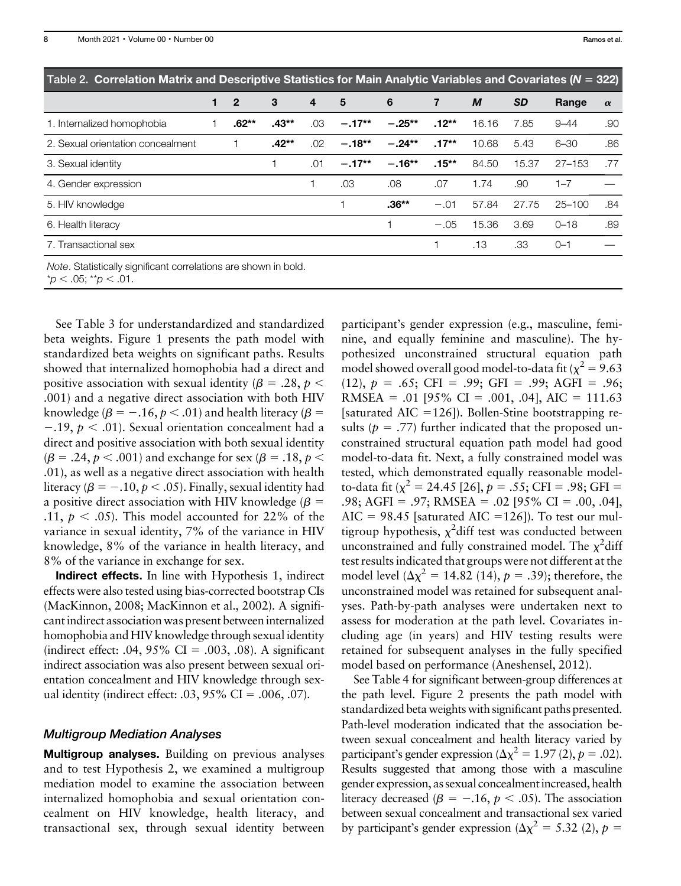| Table 2. Correlation Matrix and Descriptive Statistics for Main Analytic Variables and Covariates (N = 322) |                |         |     |          |           |          |       |           |            |          |
|-------------------------------------------------------------------------------------------------------------|----------------|---------|-----|----------|-----------|----------|-------|-----------|------------|----------|
| 1                                                                                                           | $\overline{2}$ | 3       | 4   | 5        | 6         | 7        | M     | <b>SD</b> | Range      | $\alpha$ |
|                                                                                                             | .62**          | $.43**$ | .03 | $-.17**$ | $-.25***$ | $.12***$ | 16.16 | 7.85      | $9 - 44$   | .90      |
|                                                                                                             |                | $.42**$ | .02 | $-.18**$ | $-.24**$  | $.17**$  | 10.68 | 5.43      | $6 - 30$   | .86      |
|                                                                                                             |                |         | .01 | $-.17**$ | $-.16**$  | $.15***$ | 84.50 | 15.37     | $27 - 153$ | .77      |
|                                                                                                             |                |         |     | .03      | .08       | .07      | 1.74  | .90       | $1 - 7$    |          |
|                                                                                                             |                |         |     |          | $.36**$   | $-.01$   | 57.84 | 27.75     | $25 - 100$ | .84      |
|                                                                                                             |                |         |     |          |           | $-.05$   | 15.36 | 3.69      | $0 - 18$   | .89      |
|                                                                                                             |                |         |     |          |           |          | .13   | .33       | $O - 1$    |          |
|                                                                                                             |                |         |     |          |           |          |       |           |            |          |

Note. Statistically significant correlations are shown in bold.

 $p < .05;$  \*\*p  $< .01$ .

See Table 3 for understandardized and standardized beta weights. Figure 1 presents the path model with standardized beta weights on significant paths. Results showed that internalized homophobia had a direct and positive association with sexual identity ( $\beta = .28$ ,  $p <$ .001) and a negative direct association with both HIV knowledge ( $\beta = -.16, p < .01$ ) and health literacy ( $\beta =$  $-0.19$ ,  $p < 0.01$ ). Sexual orientation concealment had a direct and positive association with both sexual identity  $(\beta = .24, p < .001)$  and exchange for sex  $(\beta = .18, p < .001)$ .01), as well as a negative direct association with health literacy ( $\beta = -.10, p < .05$ ). Finally, sexual identity had a positive direct association with HIV knowledge ( $\beta$  = .11,  $p < .05$ ). This model accounted for 22% of the variance in sexual identity, 7% of the variance in HIV knowledge, 8% of the variance in health literacy, and 8% of the variance in exchange for sex.

Indirect effects. In line with Hypothesis 1, indirect effects were also tested using bias-corrected bootstrap CIs (MacKinnon, 2008; MacKinnon et al., 2002). A significant indirect association was present between internalized homophobia and HIV knowledge through sexual identity (indirect effect: .04,  $95\%$  CI = .003, .08). A significant indirect association was also present between sexual orientation concealment and HIV knowledge through sexual identity (indirect effect:  $.03, 95\%$  CI =  $.006, .07$ ).

# Multigroup Mediation Analyses

Multigroup analyses. Building on previous analyses and to test Hypothesis 2, we examined a multigroup mediation model to examine the association between internalized homophobia and sexual orientation concealment on HIV knowledge, health literacy, and transactional sex, through sexual identity between participant's gender expression (e.g., masculine, feminine, and equally feminine and masculine). The hypothesized unconstrained structural equation path model showed overall good model-to-data fit ( $\chi^2 = 9.63$  $(12)$ ,  $p = .65$ ; CFI = .99; GFI = .99; AGFI = .96; RMSEA = .01 [95% CI = .001, .04], AIC = 111.63 [saturated AIC =  $126$ ]). Bollen-Stine bootstrapping results ( $p = .77$ ) further indicated that the proposed unconstrained structural equation path model had good model-to-data fit. Next, a fully constrained model was tested, which demonstrated equally reasonable modelto-data fit ( $\chi^2 = 24.45$  [26],  $p = .55$ ; CFI = .98; GFI = .98; AGFI = .97; RMSEA = .02 [95% CI = .00, .04], AIC = 98.45 [saturated AIC = 126]). To test our multigroup hypothesis,  $\chi^2$ diff test was conducted between unconstrained and fully constrained model. The  $\chi^2$ diff test results indicated that groups were not different at the model level  $(\Delta \chi^2 = 14.82 \ (14), p = .39)$ ; therefore, the unconstrained model was retained for subsequent analyses. Path-by-path analyses were undertaken next to assess for moderation at the path level. Covariates including age (in years) and HIV testing results were retained for subsequent analyses in the fully specified model based on performance (Aneshensel, 2012).

See Table 4 for significant between-group differences at the path level. Figure 2 presents the path model with standardized beta weights with significant paths presented. Path-level moderation indicated that the association between sexual concealment and health literacy varied by participant's gender expression ( $\Delta \chi^2 = 1.97$  (2),  $p = .02$ ). Results suggested that among those with a masculine gender expression, as sexual concealment increased, health literacy decreased ( $\beta = -.16, p < .05$ ). The association between sexual concealment and transactional sex varied by participant's gender expression ( $\Delta \chi^2 = 5.32$  (2),  $p =$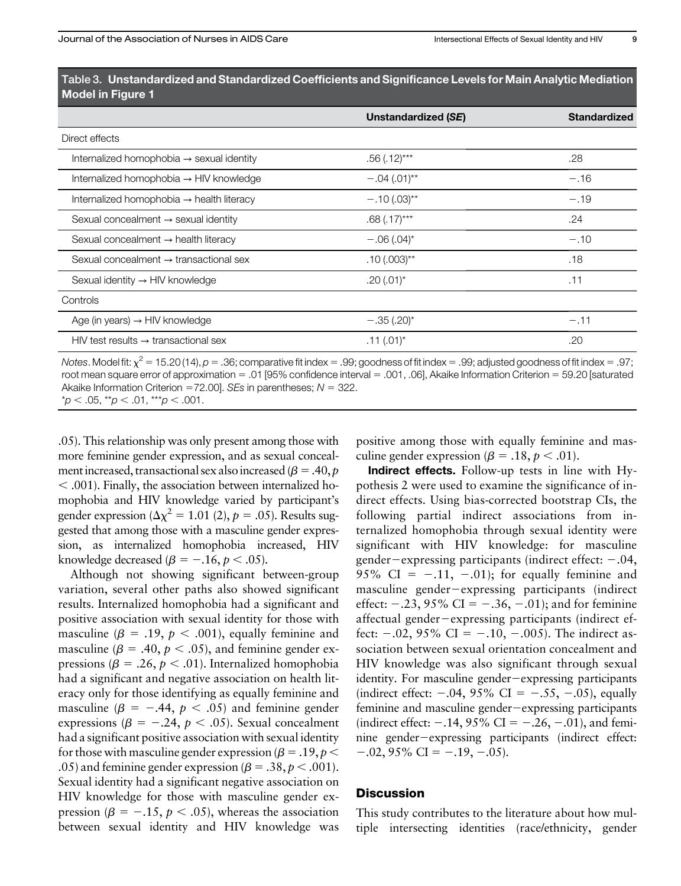|                                                       | Unstandardized (SE)      | <b>Standardized</b> |
|-------------------------------------------------------|--------------------------|---------------------|
| Direct effects                                        |                          |                     |
| Internalized homophobia $\rightarrow$ sexual identity | $.56(.12)***$            | .28                 |
| Internalized homophobia $\rightarrow$ HIV knowledge   | $-.04(.01)$ **           | $-.16$              |
| Internalized homophobia → health literacy             | $-.10(.03)$ **           | $-.19$              |
| Sexual concealment $\rightarrow$ sexual identity      | $.68$ $(.17)$ ***        | .24                 |
| Sexual concealment $\rightarrow$ health literacy      | $-.06(.04)$ <sup>*</sup> | $-.10$              |
| Sexual concealment $\rightarrow$ transactional sex    | $.10(.003)$ **           | .18                 |
| Sexual identity $\rightarrow$ HIV knowledge           | $.20(.01)^*$             | .11                 |
| Controls                                              |                          |                     |
| Age (in years) $\rightarrow$ HIV knowledge            | $-.35(.20)*$             | $-.11$              |
| $HIV$ test results $\rightarrow$ transactional sex    | $.11(.01)^*$             | .20                 |

Table 3. Unstandardized and Standardized Coefficients and Significance Levels for Main Analytic Mediation Model in Figure 1

Notes. Model fit:  $\chi^2$  = 15.20 (14), p = .36; comparative fit index = .99; goodness of fit index = .99; adjusted goodness of fit index = .97; root mean square error of approximation  $= .01$  [95% confidence interval  $= .001, .06$ ], Akaike Information Criterion  $= 59.20$  [saturated Akaike Information Criterion = 72.00]. SEs in parentheses;  $N = 322$ .  $*p < .05$ ,  $*p < .01$ ,  $**p < .001$ .

.05). This relationship was only present among those with more feminine gender expression, and as sexual concealment increased, transactional sex also increased ( $\beta = .40, p$  $<$  .001). Finally, the association between internalized homophobia and HIV knowledge varied by participant's gender expression ( $\Delta \chi^2 = 1.01$  (2),  $p = .05$ ). Results suggested that among those with a masculine gender expression, as internalized homophobia increased, HIV knowledge decreased ( $\beta = -.16, p < .05$ ).

Although not showing significant between-group variation, several other paths also showed significant results. Internalized homophobia had a significant and positive association with sexual identity for those with masculine ( $\beta = .19$ ,  $p < .001$ ), equally feminine and masculine ( $\beta = .40, p < .05$ ), and feminine gender expressions ( $\beta = .26$ ,  $p < .01$ ). Internalized homophobia had a significant and negative association on health literacy only for those identifying as equally feminine and masculine ( $\beta = -.44$ ,  $p < .05$ ) and feminine gender expressions ( $\beta = -.24$ ,  $p < .05$ ). Sexual concealment had a significant positive association with sexual identity for those with masculine gender expression ( $\beta = .19, p <$ .05) and feminine gender expression ( $\beta = .38$ ,  $p < .001$ ). Sexual identity had a significant negative association on HIV knowledge for those with masculine gender expression ( $\beta = -.15, p < .05$ ), whereas the association between sexual identity and HIV knowledge was positive among those with equally feminine and masculine gender expression ( $\beta = .18$ ,  $p < .01$ ).

Indirect effects. Follow-up tests in line with Hypothesis 2 were used to examine the significance of indirect effects. Using bias-corrected bootstrap CIs, the following partial indirect associations from internalized homophobia through sexual identity were significant with HIV knowledge: for masculine gender-expressing participants (indirect effect:  $-.04$ , 95% CI =  $-.11, -.01$ ; for equally feminine and masculine gender-expressing participants (indirect effect:  $-.23, 95\%$  CI =  $-.36, -.01$ ; and for feminine affectual gender $-\epsilon$ xpressing participants (indirect effect:  $-0.02$ , 95% CI =  $-0.10$ ,  $-0.005$ ). The indirect association between sexual orientation concealment and HIV knowledge was also significant through sexual identity. For masculine gender-expressing participants (indirect effect:  $-.04, 95\%$  CI =  $-.55, -.05$ ), equally feminine and masculine gender-expressing participants (indirect effect:  $-.14, 95\%$  CI =  $-.26, -.01$ ), and feminine gender-expressing participants (indirect effect:  $-0.02$ , 95% CI =  $-0.19$ ,  $-0.05$ ).

## **Discussion**

This study contributes to the literature about how multiple intersecting identities (race/ethnicity, gender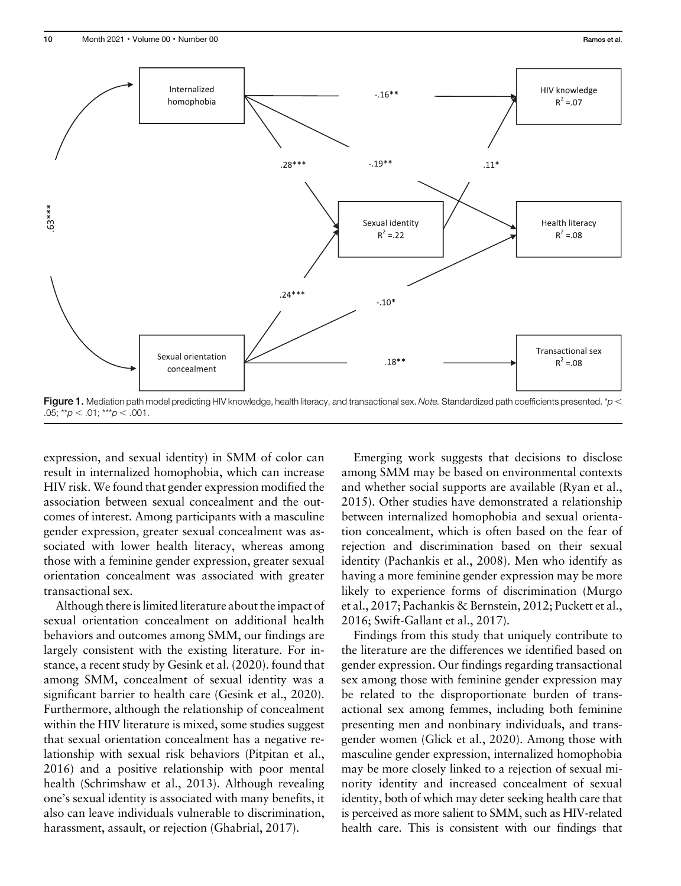

Figure 1. Mediation path model predicting HIV knowledge, health literacy, and transactional sex. Note. Standardized path coefficients presented. \*p < .05; \*\*p  $<$  .01; \*\*\*p  $<$  .001.

expression, and sexual identity) in SMM of color can result in internalized homophobia, which can increase HIV risk. We found that gender expression modified the association between sexual concealment and the outcomes of interest. Among participants with a masculine gender expression, greater sexual concealment was associated with lower health literacy, whereas among those with a feminine gender expression, greater sexual orientation concealment was associated with greater transactional sex.

Although there is limited literature about the impact of sexual orientation concealment on additional health behaviors and outcomes among SMM, our findings are largely consistent with the existing literature. For instance, a recent study by Gesink et al. (2020). found that among SMM, concealment of sexual identity was a significant barrier to health care (Gesink et al., 2020). Furthermore, although the relationship of concealment within the HIV literature is mixed, some studies suggest that sexual orientation concealment has a negative relationship with sexual risk behaviors (Pitpitan et al., 2016) and a positive relationship with poor mental health (Schrimshaw et al., 2013). Although revealing one's sexual identity is associated with many benefits, it also can leave individuals vulnerable to discrimination, harassment, assault, or rejection (Ghabrial, 2017).

Emerging work suggests that decisions to disclose among SMM may be based on environmental contexts and whether social supports are available (Ryan et al., 2015). Other studies have demonstrated a relationship between internalized homophobia and sexual orientation concealment, which is often based on the fear of rejection and discrimination based on their sexual identity (Pachankis et al., 2008). Men who identify as having a more feminine gender expression may be more likely to experience forms of discrimination (Murgo et al., 2017; Pachankis & Bernstein, 2012; Puckett et al., 2016; Swift-Gallant et al., 2017).

Findings from this study that uniquely contribute to the literature are the differences we identified based on gender expression. Our findings regarding transactional sex among those with feminine gender expression may be related to the disproportionate burden of transactional sex among femmes, including both feminine presenting men and nonbinary individuals, and transgender women (Glick et al., 2020). Among those with masculine gender expression, internalized homophobia may be more closely linked to a rejection of sexual minority identity and increased concealment of sexual identity, both of which may deter seeking health care that is perceived as more salient to SMM, such as HIV-related health care. This is consistent with our findings that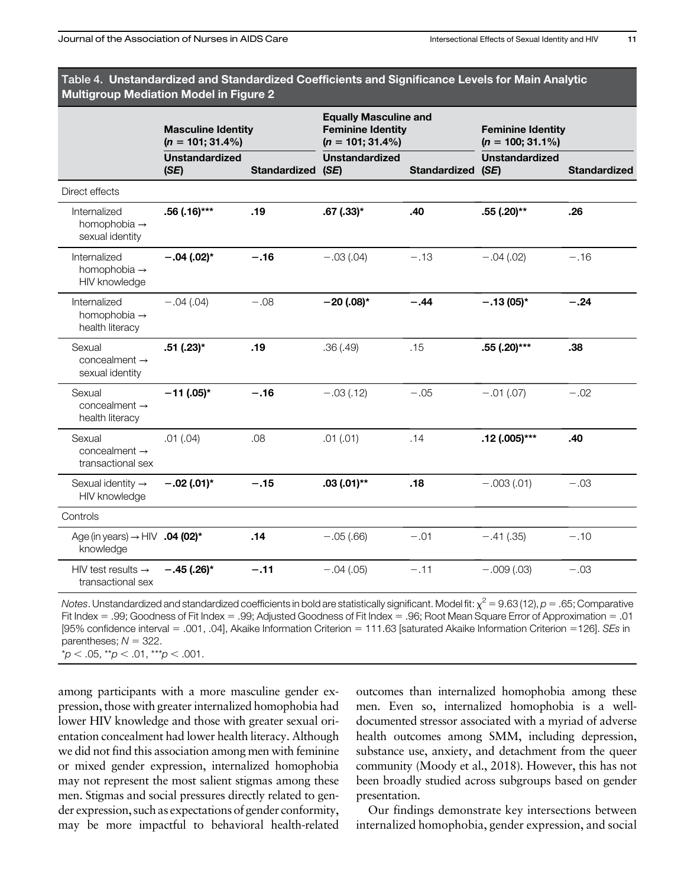| , Table 4.  Unstandardized and Standardized Coefficients and Significance Levels for Main Analytic |  |
|----------------------------------------------------------------------------------------------------|--|
| <b>Multigroup Mediation Model in Figure 2</b>                                                      |  |
|                                                                                                    |  |

|                                                             | <b>Masculine Identity</b><br>$(n = 101; 31.4\%)$ |                   | <b>Equally Masculine and</b><br><b>Feminine Identity</b><br>$(n = 101; 31.4\%)$ |                   | <b>Feminine Identity</b><br>$(n = 100; 31.1\%)$ |                     |  |
|-------------------------------------------------------------|--------------------------------------------------|-------------------|---------------------------------------------------------------------------------|-------------------|-------------------------------------------------|---------------------|--|
|                                                             | <b>Unstandardized</b><br>(SE)                    | Standardized (SE) | <b>Unstandardized</b>                                                           | Standardized (SE) | <b>Unstandardized</b>                           | <b>Standardized</b> |  |
| Direct effects                                              |                                                  |                   |                                                                                 |                   |                                                 |                     |  |
| Internalized<br>homophobia $\rightarrow$<br>sexual identity | .56 (.16)***                                     | .19               | $.67$ $(.33)*$                                                                  | .40               | .55 (.20)**                                     | .26                 |  |
| Internalized<br>homophobia $\rightarrow$<br>HIV knowledge   | $-.04(.02)$ *                                    | $-.16$            | $-.03(.04)$                                                                     | $-.13$            | $-.04(.02)$                                     | $-.16$              |  |
| Internalized<br>homophobia $\rightarrow$<br>health literacy | $-.04(.04)$                                      | $-.08$            | $-20$ (.08)*                                                                    | $-.44$            | $-.13(05)*$                                     | $-.24$              |  |
| Sexual<br>$concealment \rightarrow$<br>sexual identity      | .51 (.23)*                                       | .19               | .36(.49)                                                                        | .15               | $.55$ (.20)***                                  | .38                 |  |
| Sexual<br>$concealment \rightarrow$<br>health literacy      | $-11$ (.05)*                                     | $-.16$            | $-.03(.12)$                                                                     | $-.05$            | $-.01(.07)$                                     | $-.02$              |  |
| Sexual<br>concealment $\rightarrow$<br>transactional sex    | .01(.04)                                         | .08               | .01(.01)                                                                        | .14               | $.12(.005)***$                                  | .40                 |  |
| Sexual identity $\rightarrow$<br>HIV knowledge              | $-.02(.01)*$                                     | $-.15$            | $.03(.01)$ **                                                                   | .18               | $-.003(.01)$                                    | $-.03$              |  |
| Controls                                                    |                                                  |                   |                                                                                 |                   |                                                 |                     |  |
| Age (in years) $\rightarrow$ HIV .04 (02)*<br>knowledge     |                                                  | .14               | $-.05(.66)$                                                                     | $-.01$            | $-.41(.35)$                                     | $-.10$              |  |
| HIV test results $\rightarrow$<br>transactional sex         | $-.45(.26)*$                                     | $-.11$            | $-.04(.05)$                                                                     | $-.11$            | $-.009(.03)$                                    | $-.03$              |  |

Notes. Unstandardized and standardized coefficients in bold are statistically significant. Model fit:  $x^2 = 9.63$  (12),  $p = .65$ ; Comparative Fit Index = .99; Goodness of Fit Index = .99; Adjusted Goodness of Fit Index = .96; Root Mean Square Error of Approximation = .01 [95% confidence interval = .001, .04], Akaike Information Criterion = 111.63 [saturated Akaike Information Criterion = 126]. SEs in parentheses;  $N = 322$ .

 $p < .05$ ,  $p < .01$ ,  $p < .001$ .

among participants with a more masculine gender expression, those with greater internalized homophobia had lower HIV knowledge and those with greater sexual orientation concealment had lower health literacy. Although we did not find this association among men with feminine or mixed gender expression, internalized homophobia may not represent the most salient stigmas among these men. Stigmas and social pressures directly related to gender expression, such as expectations of gender conformity, may be more impactful to behavioral health-related outcomes than internalized homophobia among these men. Even so, internalized homophobia is a welldocumented stressor associated with a myriad of adverse health outcomes among SMM, including depression, substance use, anxiety, and detachment from the queer community (Moody et al., 2018). However, this has not been broadly studied across subgroups based on gender presentation.

Our findings demonstrate key intersections between internalized homophobia, gender expression, and social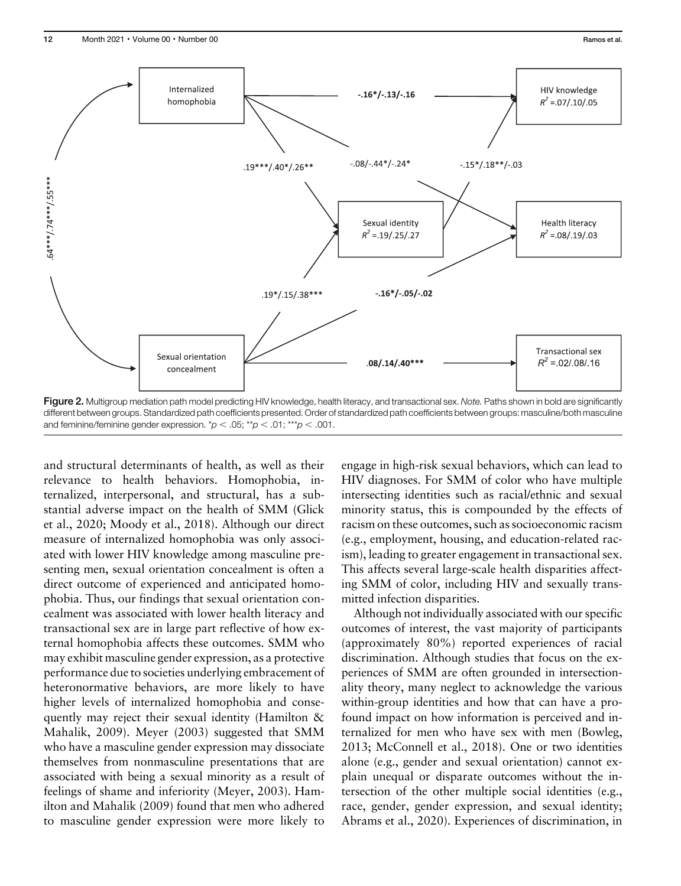

different between groups. Standardized path coefficients presented. Order of standardized path coefficients between groups: masculine/both masculine and feminine/feminine gender expression.  $p < .05$ ; \*\*p  $< .01$ ; \*\*\*p  $< .001$ .

and structural determinants of health, as well as their relevance to health behaviors. Homophobia, internalized, interpersonal, and structural, has a substantial adverse impact on the health of SMM (Glick et al., 2020; Moody et al., 2018). Although our direct measure of internalized homophobia was only associated with lower HIV knowledge among masculine presenting men, sexual orientation concealment is often a direct outcome of experienced and anticipated homophobia. Thus, our findings that sexual orientation concealment was associated with lower health literacy and transactional sex are in large part reflective of how external homophobia affects these outcomes. SMM who may exhibit masculine gender expression, as a protective performance due to societies underlying embracement of heteronormative behaviors, are more likely to have higher levels of internalized homophobia and consequently may reject their sexual identity (Hamilton & Mahalik, 2009). Meyer (2003) suggested that SMM who have a masculine gender expression may dissociate themselves from nonmasculine presentations that are associated with being a sexual minority as a result of feelings of shame and inferiority (Meyer, 2003). Hamilton and Mahalik (2009) found that men who adhered to masculine gender expression were more likely to

engage in high-risk sexual behaviors, which can lead to HIV diagnoses. For SMM of color who have multiple intersecting identities such as racial/ethnic and sexual minority status, this is compounded by the effects of racism on these outcomes, such as socioeconomic racism (e.g., employment, housing, and education-related racism), leading to greater engagement in transactional sex. This affects several large-scale health disparities affecting SMM of color, including HIV and sexually transmitted infection disparities.

Although not individually associated with our specific outcomes of interest, the vast majority of participants (approximately 80%) reported experiences of racial discrimination. Although studies that focus on the experiences of SMM are often grounded in intersectionality theory, many neglect to acknowledge the various within-group identities and how that can have a profound impact on how information is perceived and internalized for men who have sex with men (Bowleg, 2013; McConnell et al., 2018). One or two identities alone (e.g., gender and sexual orientation) cannot explain unequal or disparate outcomes without the intersection of the other multiple social identities (e.g., race, gender, gender expression, and sexual identity; Abrams et al., 2020). Experiences of discrimination, in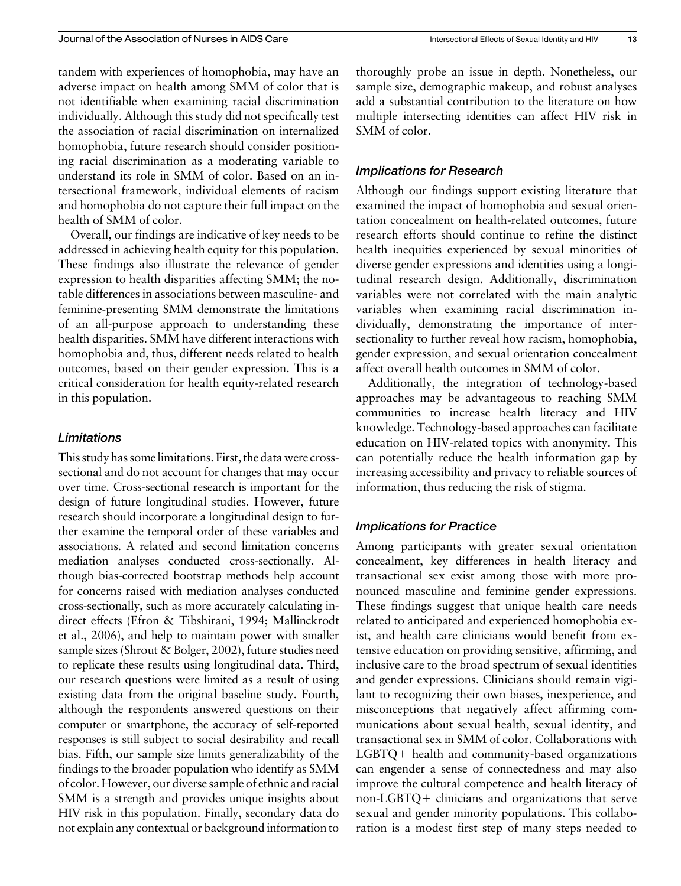tandem with experiences of homophobia, may have an adverse impact on health among SMM of color that is not identifiable when examining racial discrimination individually. Although this study did not specifically test the association of racial discrimination on internalized homophobia, future research should consider positioning racial discrimination as a moderating variable to understand its role in SMM of color. Based on an intersectional framework, individual elements of racism and homophobia do not capture their full impact on the health of SMM of color.

Overall, our findings are indicative of key needs to be addressed in achieving health equity for this population. These findings also illustrate the relevance of gender expression to health disparities affecting SMM; the notable differences in associations between masculine- and feminine-presenting SMM demonstrate the limitations of an all-purpose approach to understanding these health disparities. SMM have different interactions with homophobia and, thus, different needs related to health outcomes, based on their gender expression. This is a critical consideration for health equity-related research in this population.

# **Limitations**

This study has some limitations. First, the data were crosssectional and do not account for changes that may occur over time. Cross-sectional research is important for the design of future longitudinal studies. However, future research should incorporate a longitudinal design to further examine the temporal order of these variables and associations. A related and second limitation concerns mediation analyses conducted cross-sectionally. Although bias-corrected bootstrap methods help account for concerns raised with mediation analyses conducted cross-sectionally, such as more accurately calculating indirect effects (Efron & Tibshirani, 1994; Mallinckrodt et al., 2006), and help to maintain power with smaller sample sizes (Shrout & Bolger, 2002), future studies need to replicate these results using longitudinal data. Third, our research questions were limited as a result of using existing data from the original baseline study. Fourth, although the respondents answered questions on their computer or smartphone, the accuracy of self-reported responses is still subject to social desirability and recall bias. Fifth, our sample size limits generalizability of the findings to the broader population who identify as SMM of color. However, our diverse sample of ethnic and racial SMM is a strength and provides unique insights about HIV risk in this population. Finally, secondary data do not explain any contextual or background information to thoroughly probe an issue in depth. Nonetheless, our sample size, demographic makeup, and robust analyses add a substantial contribution to the literature on how multiple intersecting identities can affect HIV risk in SMM of color.

# Implications for Research

Although our findings support existing literature that examined the impact of homophobia and sexual orientation concealment on health-related outcomes, future research efforts should continue to refine the distinct health inequities experienced by sexual minorities of diverse gender expressions and identities using a longitudinal research design. Additionally, discrimination variables were not correlated with the main analytic variables when examining racial discrimination individually, demonstrating the importance of intersectionality to further reveal how racism, homophobia, gender expression, and sexual orientation concealment affect overall health outcomes in SMM of color.

Additionally, the integration of technology-based approaches may be advantageous to reaching SMM communities to increase health literacy and HIV knowledge. Technology-based approaches can facilitate education on HIV-related topics with anonymity. This can potentially reduce the health information gap by increasing accessibility and privacy to reliable sources of information, thus reducing the risk of stigma.

# Implications for Practice

Among participants with greater sexual orientation concealment, key differences in health literacy and transactional sex exist among those with more pronounced masculine and feminine gender expressions. These findings suggest that unique health care needs related to anticipated and experienced homophobia exist, and health care clinicians would benefit from extensive education on providing sensitive, affirming, and inclusive care to the broad spectrum of sexual identities and gender expressions. Clinicians should remain vigilant to recognizing their own biases, inexperience, and misconceptions that negatively affect affirming communications about sexual health, sexual identity, and transactional sex in SMM of color. Collaborations with  $LGBTQ+$  health and community-based organizations can engender a sense of connectedness and may also improve the cultural competence and health literacy of non-LGBTQ $+$  clinicians and organizations that serve sexual and gender minority populations. This collaboration is a modest first step of many steps needed to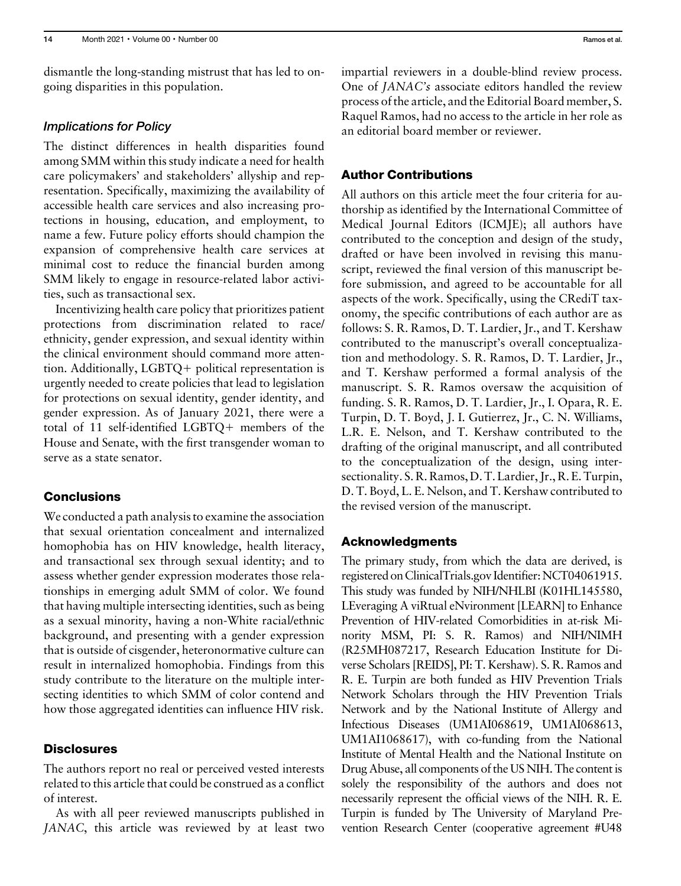dismantle the long-standing mistrust that has led to ongoing disparities in this population.

## Implications for Policy

The distinct differences in health disparities found among SMM within this study indicate a need for health care policymakers' and stakeholders' allyship and representation. Specifically, maximizing the availability of accessible health care services and also increasing protections in housing, education, and employment, to name a few. Future policy efforts should champion the expansion of comprehensive health care services at minimal cost to reduce the financial burden among SMM likely to engage in resource-related labor activities, such as transactional sex.

Incentivizing health care policy that prioritizes patient protections from discrimination related to race/ ethnicity, gender expression, and sexual identity within the clinical environment should command more attention. Additionally,  $LGBTQ +$  political representation is urgently needed to create policies that lead to legislation for protections on sexual identity, gender identity, and gender expression. As of January 2021, there were a total of 11 self-identified LGBTQ+ members of the House and Senate, with the first transgender woman to serve as a state senator.

# **Conclusions**

We conducted a path analysis to examine the association that sexual orientation concealment and internalized homophobia has on HIV knowledge, health literacy, and transactional sex through sexual identity; and to assess whether gender expression moderates those relationships in emerging adult SMM of color. We found that having multiple intersecting identities, such as being as a sexual minority, having a non-White racial/ethnic background, and presenting with a gender expression that is outside of cisgender, heteronormative culture can result in internalized homophobia. Findings from this study contribute to the literature on the multiple intersecting identities to which SMM of color contend and how those aggregated identities can influence HIV risk.

# **Disclosures**

The authors report no real or perceived vested interests related to this article that could be construed as a conflict of interest.

As with all peer reviewed manuscripts published in JANAC, this article was reviewed by at least two impartial reviewers in a double-blind review process. One of JANAC's associate editors handled the review process of the article, and the Editorial Board member, S. Raquel Ramos, had no access to the article in her role as an editorial board member or reviewer.

## Author Contributions

All authors on this article meet the four criteria for authorship as identified by the International Committee of Medical Journal Editors (ICMJE); all authors have contributed to the conception and design of the study, drafted or have been involved in revising this manuscript, reviewed the final version of this manuscript before submission, and agreed to be accountable for all aspects of the work. Specifically, using the CRediT taxonomy, the specific contributions of each author are as follows: S. R. Ramos, D. T. Lardier, Jr., and T. Kershaw contributed to the manuscript's overall conceptualization and methodology. S. R. Ramos, D. T. Lardier, Jr., and T. Kershaw performed a formal analysis of the manuscript. S. R. Ramos oversaw the acquisition of funding. S. R. Ramos, D. T. Lardier, Jr., I. Opara, R. E. Turpin, D. T. Boyd, J. I. Gutierrez, Jr., C. N. Williams, L.R. E. Nelson, and T. Kershaw contributed to the drafting of the original manuscript, and all contributed to the conceptualization of the design, using intersectionality. S. R. Ramos, D. T. Lardier, Jr., R. E. Turpin, D. T. Boyd, L. E. Nelson, and T. Kershaw contributed to the revised version of the manuscript.

## Acknowledgments

The primary study, from which the data are derived, is registered on [ClinicalTrials.gov](http://ClinicalTrials.gov) Identifier: NCT04061915. This study was funded by NIH/NHLBI (K01HL145580, LEveraging A viRtual eNvironment [LEARN] to Enhance Prevention of HIV-related Comorbidities in at-risk Minority MSM, PI: S. R. Ramos) and NIH/NIMH (R25MH087217, Research Education Institute for Diverse Scholars [REIDS], PI: T. Kershaw). S. R. Ramos and R. E. Turpin are both funded as HIV Prevention Trials Network Scholars through the HIV Prevention Trials Network and by the National Institute of Allergy and Infectious Diseases (UM1AI068619, UM1AI068613, UM1AI1068617), with co-funding from the National Institute of Mental Health and the National Institute on Drug Abuse, all components of the US NIH. The content is solely the responsibility of the authors and does not necessarily represent the official views of the NIH. R. E. Turpin is funded by The University of Maryland Prevention Research Center (cooperative agreement #U48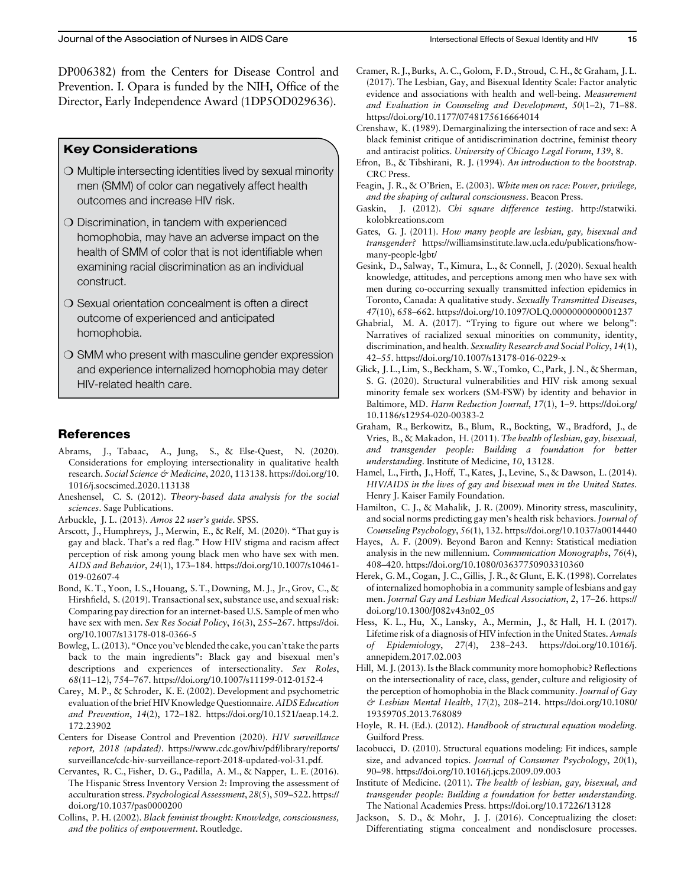DP006382) from the Centers for Disease Control and Prevention. I. Opara is funded by the NIH, Office of the Director, Early Independence Award (1DP5OD029636).

## Key Considerations

- $\bigcirc$  Multiple intersecting identities lived by sexual minority men (SMM) of color can negatively affect health outcomes and increase HIV risk.
- $\bigcirc$  Discrimination, in tandem with experienced homophobia, may have an adverse impact on the health of SMM of color that is not identifiable when examining racial discrimination as an individual construct.
- $\bigcirc$  Sexual orientation concealment is often a direct outcome of experienced and anticipated homophobia.
- $\bigcirc$  SMM who present with masculine gender expression and experience internalized homophobia may deter HIV-related health care.

# References

- Abrams, J., Tabaac, A., Jung, S., & Else-Quest, N. (2020). Considerations for employing intersectionality in qualitative health research. Social Science & Medicine, 2020, 113138. [https://doi.org/10.](https://doi.org/10.1016/j.socscimed.2020.113138) [1016/j.socscimed.2020.113138](https://doi.org/10.1016/j.socscimed.2020.113138)
- Aneshensel, C. S. (2012). Theory-based data analysis for the social sciences. Sage Publications.
- Arbuckle, J. L. (2013). Amos 22 user's guide. SPSS.
- Arscott, J., Humphreys, J., Merwin, E., & Relf, M. (2020). "That guy is gay and black. That's a red flag." How HIV stigma and racism affect perception of risk among young black men who have sex with men. AIDS and Behavior, 24(1), 173–184. [https://doi.org/10.1007/s10461-](https://doi.org/10.1007/s10461-019-02607-4) [019-02607-4](https://doi.org/10.1007/s10461-019-02607-4)
- Bond, K. T., Yoon, I. S., Houang, S. T., Downing, M. J., Jr., Grov, C., & Hirshfield, S. (2019). Transactional sex, substance use, and sexual risk: Comparing pay direction for an internet-based U.S. Sample of men who have sex with men. Sex Res Social Policy, 16(3), 255-267. [https://doi.](https://doi.org/10.1007/s13178-018-0366-5) [org/10.1007/s13178-018-0366-5](https://doi.org/10.1007/s13178-018-0366-5)
- Bowleg, L. (2013). "Once you've blended the cake, you can't take the parts back to the main ingredients": Black gay and bisexual men's descriptions and experiences of intersectionality. Sex Roles, 68(11–12), 754–767.<https://doi.org/10.1007/s11199-012-0152-4>
- Carey, M. P., & Schroder, K. E. (2002). Development and psychometric evaluation of the brief HIV Knowledge Questionnaire. AIDS Education and Prevention, 14(2), 172–182. [https://doi.org/10.1521/aeap.14.2.](https://doi.org/10.1521/aeap.14.2.172.23902) [172.23902](https://doi.org/10.1521/aeap.14.2.172.23902)
- Centers for Disease Control and Prevention (2020). HIV surveillance report, 2018 (updated). [https://www.cdc.gov/hiv/pdf/library/reports/](https://www.cdc.gov/hiv/pdf/library/reports/surveillance/cdc-hiv-surveillance-report-2018-updated-vol-31.pdf) [surveillance/cdc-hiv-surveillance-report-2018-updated-vol-31.pdf](https://www.cdc.gov/hiv/pdf/library/reports/surveillance/cdc-hiv-surveillance-report-2018-updated-vol-31.pdf).
- Cervantes, R. C., Fisher, D. G., Padilla, A. M., & Napper, L. E. (2016). The Hispanic Stress Inventory Version 2: Improving the assessment of acculturation stress. Psychological Assessment, 28(5), 509–522. [https://](https://doi.org/10.1037/pas0000200) [doi.org/10.1037/pas0000200](https://doi.org/10.1037/pas0000200)
- Collins, P. H. (2002). Black feminist thought: Knowledge, consciousness, and the politics of empowerment. Routledge.
- Cramer, R. J., Burks, A. C., Golom, F. D., Stroud, C. H., & Graham, J. L. (2017). The Lesbian, Gay, and Bisexual Identity Scale: Factor analytic evidence and associations with health and well-being. Measurement and Evaluation in Counseling and Development, 50(1–2), 71–88. <https://doi.org/10.1177/0748175616664014>
- Crenshaw, K. (1989). Demarginalizing the intersection of race and sex: A black feminist critique of antidiscrimination doctrine, feminist theory and antiracist politics. University of Chicago Legal Forum, 139, 8.
- Efron, B., & Tibshirani, R. J. (1994). An introduction to the bootstrap. CRC Press.
- Feagin, J. R., & O'Brien, E. (2003). White men on race: Power, privilege, and the shaping of cultural consciousness. Beacon Press.
- Gaskin, J. (2012). Chi square difference testing. [http://statwiki.](http://statwiki.kolobkreations.com) [kolobkreations.com](http://statwiki.kolobkreations.com)
- Gates, G. J. (2011). How many people are lesbian, gay, bisexual and transgender? [https://williamsinstitute.law.ucla.edu/publications/how](https://williamsinstitute.law.ucla.edu/publications/how-many-people-lgbt/)[many-people-lgbt/](https://williamsinstitute.law.ucla.edu/publications/how-many-people-lgbt/)
- Gesink, D., Salway, T., Kimura, L., & Connell, J. (2020). Sexual health knowledge, attitudes, and perceptions among men who have sex with men during co-occurring sexually transmitted infection epidemics in Toronto, Canada: A qualitative study. Sexually Transmitted Diseases, 47(10), 658–662.<https://doi.org/10.1097/OLQ.0000000000001237>
- Ghabrial, M. A. (2017). "Trying to figure out where we belong": Narratives of racialized sexual minorities on community, identity, discrimination, and health. Sexuality Research and Social Policy, 14(1), 42–55.<https://doi.org/10.1007/s13178-016-0229-x>
- Glick, J. L., Lim, S., Beckham, S.W., Tomko, C., Park, J. N., & Sherman, S. G. (2020). Structural vulnerabilities and HIV risk among sexual minority female sex workers (SM-FSW) by identity and behavior in Baltimore, MD. Harm Reduction Journal, 17(1), 1–9. [https://doi.org/](https://doi.org/10.1186/s12954-020-00383-2) [10.1186/s12954-020-00383-2](https://doi.org/10.1186/s12954-020-00383-2)
- Graham, R., Berkowitz, B., Blum, R., Bockting, W., Bradford, J., de Vries, B., & Makadon, H. (2011). The health of lesbian, gay, bisexual, and transgender people: Building a foundation for better understanding. Institute of Medicine, 10, 13128.
- Hamel, L., Firth, J., Hoff, T., Kates, J., Levine, S., & Dawson, L. (2014). HIV/AIDS in the lives of gay and bisexual men in the United States. Henry J. Kaiser Family Foundation.
- Hamilton, C. J., & Mahalik, J. R. (2009). Minority stress, masculinity, and social norms predicting gay men's health risk behaviors. Journal of Counseling Psychology, 56(1), 132.<https://doi.org/10.1037/a0014440>
- Hayes, A. F. (2009). Beyond Baron and Kenny: Statistical mediation analysis in the new millennium. Communication Monographs, 76(4), 408–420.<https://doi.org/10.1080/03637750903310360>
- Herek, G.M., Cogan, J. C., Gillis, J. R., & Glunt, E. K. (1998). Correlates of internalized homophobia in a community sample of lesbians and gay men. Journal Gay and Lesbian Medical Association, 2, 17–26. [https://](https://doi.org/10.1300/J082v43n02_05) [doi.org/10.1300/J082v43n02\\_05](https://doi.org/10.1300/J082v43n02_05)
- Hess, K. L., Hu, X., Lansky, A., Mermin, J., & Hall, H. I. (2017). Lifetime risk of a diagnosis of HIV infection in the United States. Annals of Epidemiology, 27(4), 238–243. [https://doi.org/10.1016/j.](https://doi.org/10.1016/j.annepidem.2017.02.003) [annepidem.2017.02.003](https://doi.org/10.1016/j.annepidem.2017.02.003)
- Hill, M. J. (2013). Is the Black community more homophobic? Reflections on the intersectionality of race, class, gender, culture and religiosity of the perception of homophobia in the Black community. Journal of Gay & Lesbian Mental Health, 17(2), 208–214. [https://doi.org/10.1080/](https://doi.org/10.1080/19359705.2013.768089) [19359705.2013.768089](https://doi.org/10.1080/19359705.2013.768089)
- Hoyle, R. H. (Ed.). (2012). Handbook of structural equation modeling. Guilford Press.
- Iacobucci, D. (2010). Structural equations modeling: Fit indices, sample size, and advanced topics. Journal of Consumer Psychology, 20(1), 90–98.<https://doi.org/10.1016/j.jcps.2009.09.003>
- Institute of Medicine. (2011). The health of lesbian, gay, bisexual, and transgender people: Building a foundation for better understanding. The National Academies Press.<https://doi.org/10.17226/13128>
- Jackson, S. D., & Mohr, J. J. (2016). Conceptualizing the closet: Differentiating stigma concealment and nondisclosure processes.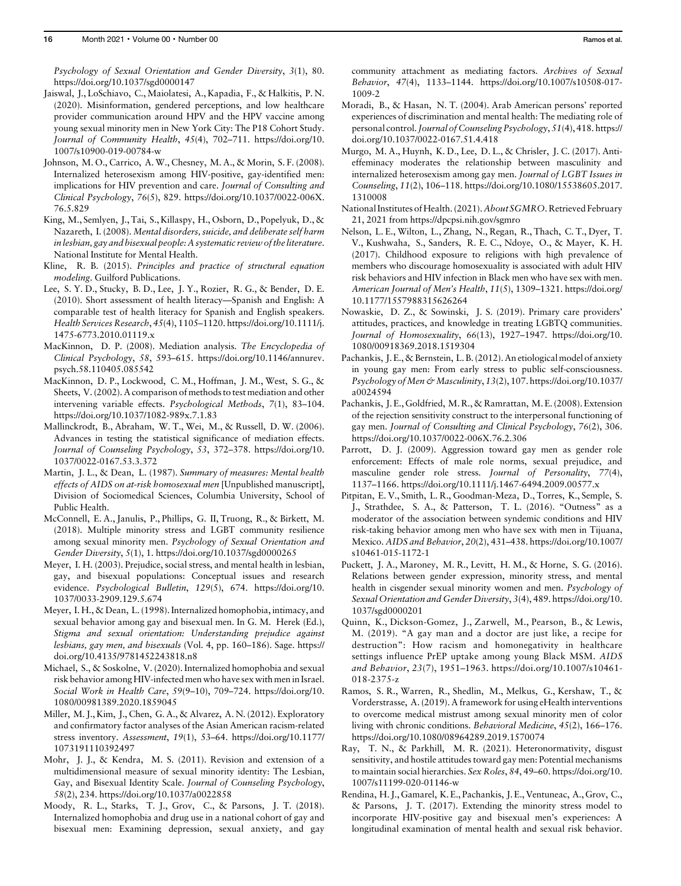Psychology of Sexual Orientation and Gender Diversity, 3(1), 80. <https://doi.org/10.1037/sgd0000147>

- Jaiswal, J., LoSchiavo, C., Maiolatesi, A., Kapadia, F., & Halkitis, P. N. (2020). Misinformation, gendered perceptions, and low healthcare provider communication around HPV and the HPV vaccine among young sexual minority men in New York City: The P18 Cohort Study. Journal of Community Health, 45(4), 702–711. [https://doi.org/10.](https://doi.org/10.1007/s10900-019-00784-w) [1007/s10900-019-00784-w](https://doi.org/10.1007/s10900-019-00784-w)
- Johnson, M. O., Carrico, A. W., Chesney, M. A., & Morin, S. F. (2008). Internalized heterosexism among HIV-positive, gay-identified men: implications for HIV prevention and care. Journal of Consulting and Clinical Psychology, 76(5), 829. [https://doi.org/10.1037/0022-006X.](https://doi.org/10.1037/0022-006X.76.5.829) [76.5.829](https://doi.org/10.1037/0022-006X.76.5.829)
- King, M., Semlyen, J., Tai, S., Killaspy, H., Osborn, D., Popelyuk, D., & Nazareth, I. (2008). Mental disorders, suicide, and deliberate self harm in lesbian, gay and bisexual people: A systematic review of the literature. National Institute for Mental Health.
- Kline, R. B. (2015). Principles and practice of structural equation modeling. Guilford Publications.
- Lee, S. Y. D., Stucky, B. D., Lee, J. Y., Rozier, R. G., & Bender, D. E. (2010). Short assessment of health literacy—Spanish and English: A comparable test of health literacy for Spanish and English speakers. Health Services Research, 45(4), 1105–1120. [https://doi.org/10.1111/j.](https://doi.org/10.1111/j.1475-6773.2010.01119.x) [1475-6773.2010.01119.x](https://doi.org/10.1111/j.1475-6773.2010.01119.x)
- MacKinnon, D. P. (2008). Mediation analysis. The Encyclopedia of Clinical Psychology, 58, 593–615. [https://doi.org/10.1146/annurev.](https://doi.org/10.1146/annurev.psych.58.110405.085542) [psych.58.110405.085542](https://doi.org/10.1146/annurev.psych.58.110405.085542)
- MacKinnon, D. P., Lockwood, C. M., Hoffman, J. M., West, S. G., & Sheets, V. (2002). A comparison of methods to test mediation and other intervening variable effects. Psychological Methods, 7(1), 83–104. <https://doi.org/10.1037/1082-989x.7.1.83>
- Mallinckrodt, B., Abraham, W. T., Wei, M., & Russell, D. W. (2006). Advances in testing the statistical significance of mediation effects. Journal of Counseling Psychology, 53, 372–378. [https://doi.org/10.](https://doi.org/10.1037/0022-0167.53.3.372) [1037/0022-0167.53.3.372](https://doi.org/10.1037/0022-0167.53.3.372)
- Martin, J. L., & Dean, L. (1987). Summary of measures: Mental health effects of AIDS on at-risk homosexual men [Unpublished manuscript], Division of Sociomedical Sciences, Columbia University, School of Public Health.
- McConnell, E. A., Janulis, P., Phillips, G. II, Truong, R., & Birkett, M. (2018). Multiple minority stress and LGBT community resilience among sexual minority men. Psychology of Sexual Orientation and Gender Diversity, 5(1), 1.<https://doi.org/10.1037/sgd0000265>
- Meyer, I. H. (2003). Prejudice, social stress, and mental health in lesbian, gay, and bisexual populations: Conceptual issues and research evidence. Psychological Bulletin, 129(5), 674. [https://doi.org/10.](https://doi.org/10.1037/0033-2909.129.5.674) [1037/0033-2909.129.5.674](https://doi.org/10.1037/0033-2909.129.5.674)
- Meyer, I. H., & Dean, L. (1998). Internalized homophobia, intimacy, and sexual behavior among gay and bisexual men. In G. M. Herek (Ed.), Stigma and sexual orientation: Understanding prejudice against lesbians, gay men, and bisexuals (Vol. 4, pp. 160–186). Sage. [https://](https://doi.org/10.4135/9781452243818.n8) [doi.org/10.4135/9781452243818.n8](https://doi.org/10.4135/9781452243818.n8)
- Michael, S., & Soskolne, V. (2020). Internalized homophobia and sexual risk behavior among HIV-infected men who have sex with men in Israel. Social Work in Health Care, 59(9–10), 709–724. [https://doi.org/10.](https://doi.org/10.1080/00981389.2020.1859045) [1080/00981389.2020.1859045](https://doi.org/10.1080/00981389.2020.1859045)
- Miller, M. J., Kim, J., Chen, G. A., & Alvarez, A. N. (2012). Exploratory and confirmatory factor analyses of the Asian American racism-related stress inventory. Assessment, 19(1), 53–64. [https://doi.org/10.1177/](https://doi.org/10.1177/1073191110392497) [1073191110392497](https://doi.org/10.1177/1073191110392497)
- Mohr, J. J., & Kendra, M. S. (2011). Revision and extension of a multidimensional measure of sexual minority identity: The Lesbian, Gay, and Bisexual Identity Scale. Journal of Counseling Psychology, 58(2), 234.<https://doi.org/10.1037/a0022858>
- Moody, R. L., Starks, T. J., Grov, C., & Parsons, J. T. (2018). Internalized homophobia and drug use in a national cohort of gay and bisexual men: Examining depression, sexual anxiety, and gay

community attachment as mediating factors. Archives of Sexual Behavior, 47(4), 1133–1144. [https://doi.org/10.1007/s10508-017-](https://doi.org/10.1007/s10508-017-1009-2) [1009-2](https://doi.org/10.1007/s10508-017-1009-2)

- Moradi, B., & Hasan, N. T. (2004). Arab American persons' reported experiences of discrimination and mental health: The mediating role of personal control.Journal of Counseling Psychology, 51(4), 418. [https://](https://doi.org/10.1037/0022-0167.51.4.418) [doi.org/10.1037/0022-0167.51.4.418](https://doi.org/10.1037/0022-0167.51.4.418)
- Murgo, M. A., Huynh, K. D., Lee, D. L., & Chrisler, J. C. (2017). Antieffeminacy moderates the relationship between masculinity and internalized heterosexism among gay men. Journal of LGBT Issues in Counseling, 11(2), 106–118. [https://doi.org/10.1080/15538605.2017.](https://doi.org/10.1080/15538605.2017.1310008) [1310008](https://doi.org/10.1080/15538605.2017.1310008)
- National Institutes of Health. (2021). About SGMRO. Retrieved February 21, 2021 from<https://dpcpsi.nih.gov/sgmro>
- Nelson, L. E., Wilton, L., Zhang, N., Regan, R., Thach, C. T., Dyer, T. V., Kushwaha, S., Sanders, R. E. C., Ndoye, O., & Mayer, K. H. (2017). Childhood exposure to religions with high prevalence of members who discourage homosexuality is associated with adult HIV risk behaviors and HIV infection in Black men who have sex with men. American Journal of Men's Health, 11(5), 1309–1321. [https://doi.org/](https://doi.org/10.1177/1557988315626264) [10.1177/1557988315626264](https://doi.org/10.1177/1557988315626264)
- Nowaskie, D. Z., & Sowinski, J. S. (2019). Primary care providers' attitudes, practices, and knowledge in treating LGBTQ communities. Journal of Homosexuality, 66(13), 1927–1947. [https://doi.org/10.](https://doi.org/10.1080/00918369.2018.1519304) [1080/00918369.2018.1519304](https://doi.org/10.1080/00918369.2018.1519304)
- Pachankis, J. E.,& Bernstein, L. B. (2012). An etiological model of anxiety in young gay men: From early stress to public self-consciousness. Psychology of Men & Masculinity, 13(2), 107. [https://doi.org/10.1037/](https://doi.org/10.1037/a0024594) [a0024594](https://doi.org/10.1037/a0024594)
- Pachankis, J. E., Goldfried, M. R., & Ramrattan, M. E. (2008). Extension of the rejection sensitivity construct to the interpersonal functioning of gay men. Journal of Consulting and Clinical Psychology, 76(2), 306. <https://doi.org/10.1037/0022-006X.76.2.306>
- Parrott, D. J. (2009). Aggression toward gay men as gender role enforcement: Effects of male role norms, sexual prejudice, and masculine gender role stress. Journal of Personality, 77(4), 1137–1166.<https://doi.org/10.1111/j.1467-6494.2009.00577.x>
- Pitpitan, E. V., Smith, L. R., Goodman-Meza, D., Torres, K., Semple, S. J., Strathdee, S. A., & Patterson, T. L. (2016). "Outness" as a moderator of the association between syndemic conditions and HIV risk-taking behavior among men who have sex with men in Tijuana, Mexico. AIDS and Behavior, 20(2), 431–438. [https://doi.org/10.1007/](https://doi.org/10.1007/s10461-015-1172-1) [s10461-015-1172-1](https://doi.org/10.1007/s10461-015-1172-1)
- Puckett, J. A., Maroney, M. R., Levitt, H. M., & Horne, S. G. (2016). Relations between gender expression, minority stress, and mental health in cisgender sexual minority women and men. Psychology of Sexual Orientation and Gender Diversity, 3(4), 489. [https://doi.org/10.](https://doi.org/10.1037/sgd0000201) [1037/sgd0000201](https://doi.org/10.1037/sgd0000201)
- Quinn, K., Dickson-Gomez, J., Zarwell, M., Pearson, B., & Lewis, M. (2019). "A gay man and a doctor are just like, a recipe for destruction": How racism and homonegativity in healthcare settings influence PrEP uptake among young Black MSM. AIDS and Behavior, 23(7), 1951–1963. [https://doi.org/10.1007/s10461-](https://doi.org/10.1007/s10461-018-2375-z) [018-2375-z](https://doi.org/10.1007/s10461-018-2375-z)
- Ramos, S. R., Warren, R., Shedlin, M., Melkus, G., Kershaw, T., & Vorderstrasse, A. (2019). A framework for using eHealth interventions to overcome medical mistrust among sexual minority men of color living with chronic conditions. Behavioral Medicine, 45(2), 166–176. <https://doi.org/10.1080/08964289.2019.1570074>
- Ray, T. N., & Parkhill, M. R. (2021). Heteronormativity, disgust sensitivity, and hostile attitudes toward gay men: Potential mechanisms to maintain social hierarchies. Sex Roles, 84, 49–60. [https://doi.org/10.](https://doi.org/10.1007/s11199-020-01146-w) [1007/s11199-020-01146-w](https://doi.org/10.1007/s11199-020-01146-w)
- Rendina, H. J., Gamarel, K. E., Pachankis, J. E., Ventuneac, A., Grov, C., & Parsons, J. T. (2017). Extending the minority stress model to incorporate HIV-positive gay and bisexual men's experiences: A longitudinal examination of mental health and sexual risk behavior.